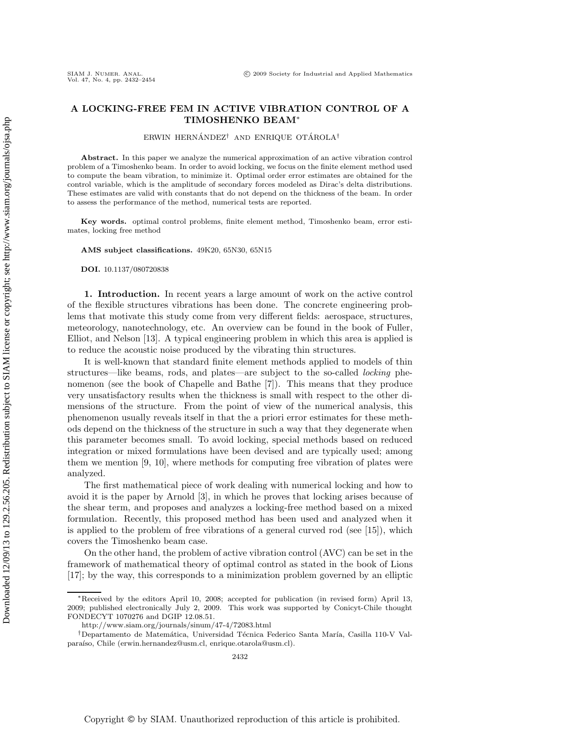# **A LOCKING-FREE FEM IN ACTIVE VIBRATION CONTROL OF A TIMOSHENKO BEAM**∗

ERWIN HERNÁNDEZ<sup>†</sup> AND ENRIQUE OTÁROLA<sup>†</sup>

**Abstract.** In this paper we analyze the numerical approximation of an active vibration control problem of a Timoshenko beam. In order to avoid locking, we focus on the finite element method used to compute the beam vibration, to minimize it. Optimal order error estimates are obtained for the control variable, which is the amplitude of secondary forces modeled as Dirac's delta distributions. These estimates are valid with constants that do not depend on the thickness of the beam. In order to assess the performance of the method, numerical tests are reported.

**Key words.** optimal control problems, finite element method, Timoshenko beam, error estimates, locking free method

**AMS subject classifications.** 49K20, 65N30, 65N15

**DOI.** 10.1137/080720838

**1. Introduction.** In recent years a large amount of work on the active control of the flexible structures vibrations has been done. The concrete engineering problems that motivate this study come from very different fields: aerospace, structures, meteorology, nanotechnology, etc. An overview can be found in the book of Fuller, Elliot, and Nelson [13]. A typical engineering problem in which this area is applied is to reduce the acoustic noise produced by the vibrating thin structures.

It is well-known that standard finite element methods applied to models of thin structures—like beams, rods, and plates—are subject to the so-called *locking* phenomenon (see the book of Chapelle and Bathe [7]). This means that they produce very unsatisfactory results when the thickness is small with respect to the other dimensions of the structure. From the point of view of the numerical analysis, this phenomenon usually reveals itself in that the a priori error estimates for these methods depend on the thickness of the structure in such a way that they degenerate when this parameter becomes small. To avoid locking, special methods based on reduced integration or mixed formulations have been devised and are typically used; among them we mention [9, 10], where methods for computing free vibration of plates were analyzed.

The first mathematical piece of work dealing with numerical locking and how to avoid it is the paper by Arnold [3], in which he proves that locking arises because of the shear term, and proposes and analyzes a locking-free method based on a mixed formulation. Recently, this proposed method has been used and analyzed when it is applied to the problem of free vibrations of a general curved rod (see [15]), which covers the Timoshenko beam case.

On the other hand, the problem of active vibration control (AVC) can be set in the framework of mathematical theory of optimal control as stated in the book of Lions [17]; by the way, this corresponds to a minimization problem governed by an elliptic

<sup>∗</sup>Received by the editors April 10, 2008; accepted for publication (in revised form) April 13, 2009; published electronically July 2, 2009. This work was supported by Conicyt-Chile thought FONDECYT 1070276 and DGIP 12.08.51.

http://www.siam.org/journals/sinum/47-4/72083.html

<sup>&</sup>lt;sup>†</sup>Departamento de Matemática, Universidad Técnica Federico Santa María, Casilla 110-V Valparaíso, Chile (erwin.hernandez@usm.cl, enrique.otarola@usm.cl).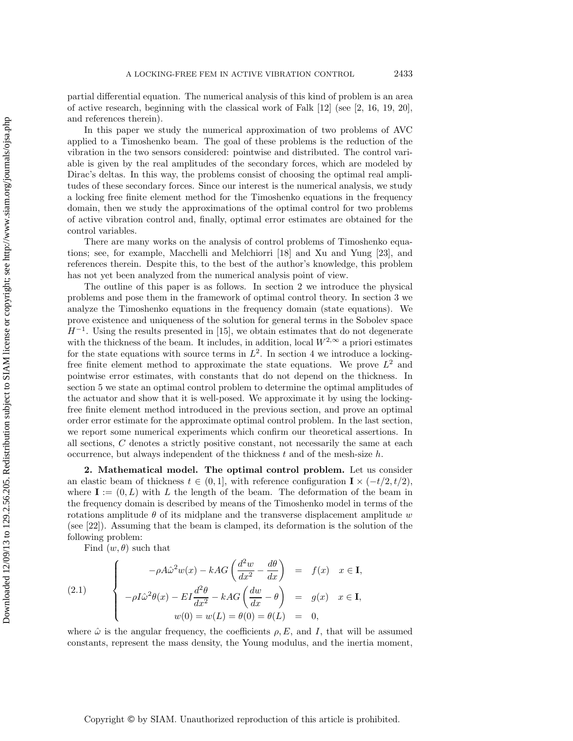partial differential equation. The numerical analysis of this kind of problem is an area of active research, beginning with the classical work of Falk  $[12]$  (see  $[2, 16, 19, 20]$ , and references therein).

In this paper we study the numerical approximation of two problems of AVC applied to a Timoshenko beam. The goal of these problems is the reduction of the vibration in the two sensors considered: pointwise and distributed. The control variable is given by the real amplitudes of the secondary forces, which are modeled by Dirac's deltas. In this way, the problems consist of choosing the optimal real amplitudes of these secondary forces. Since our interest is the numerical analysis, we study a locking free finite element method for the Timoshenko equations in the frequency domain, then we study the approximations of the optimal control for two problems of active vibration control and, finally, optimal error estimates are obtained for the control variables.

There are many works on the analysis of control problems of Timoshenko equations; see, for example, Macchelli and Melchiorri [18] and Xu and Yung [23], and references therein. Despite this, to the best of the author's knowledge, this problem has not yet been analyzed from the numerical analysis point of view.

The outline of this paper is as follows. In section 2 we introduce the physical problems and pose them in the framework of optimal control theory. In section 3 we analyze the Timoshenko equations in the frequency domain (state equations). We prove existence and uniqueness of the solution for general terms in the Sobolev space  $H^{-1}$ . Using the results presented in [15], we obtain estimates that do not degenerate with the thickness of the beam. It includes, in addition, local  $W^{2,\infty}$  a priori estimates for the state equations with source terms in  $L^2$ . In section 4 we introduce a lockingfree finite element method to approximate the state equations. We prove  $L^2$  and pointwise error estimates, with constants that do not depend on the thickness. In section 5 we state an optimal control problem to determine the optimal amplitudes of the actuator and show that it is well-posed. We approximate it by using the lockingfree finite element method introduced in the previous section, and prove an optimal order error estimate for the approximate optimal control problem. In the last section, we report some numerical experiments which confirm our theoretical assertions. In all sections, C denotes a strictly positive constant, not necessarily the same at each occurrence, but always independent of the thickness  $t$  and of the mesh-size  $h$ .

**2. Mathematical model. The optimal control problem.** Let us consider an elastic beam of thickness  $t \in (0, 1]$ , with reference configuration  $\mathbf{I} \times (-t/2, t/2)$ , where  $I := (0, L)$  with L the length of the beam. The deformation of the beam in the frequency domain is described by means of the Timoshenko model in terms of the rotations amplitude  $\theta$  of its midplane and the transverse displacement amplitude w (see [22]). Assuming that the beam is clamped, its deformation is the solution of the following problem:

Find  $(w, \theta)$  such that

(2.1) 
$$
\begin{cases}\n-\rho A \hat{\omega}^2 w(x) - kAG \left( \frac{d^2 w}{dx^2} - \frac{d\theta}{dx} \right) & = f(x) \quad x \in \mathbf{I}, \\
-\rho I \hat{\omega}^2 \theta(x) - EI \frac{d^2 \theta}{dx^2} - kAG \left( \frac{dw}{dx} - \theta \right) & = g(x) \quad x \in \mathbf{I}, \\
w(0) = w(L) = \theta(0) = \theta(L) & = 0,\n\end{cases}
$$

where  $\hat{\omega}$  is the angular frequency, the coefficients  $\rho$ , E, and I, that will be assumed constants, represent the mass density, the Young modulus, and the inertia moment,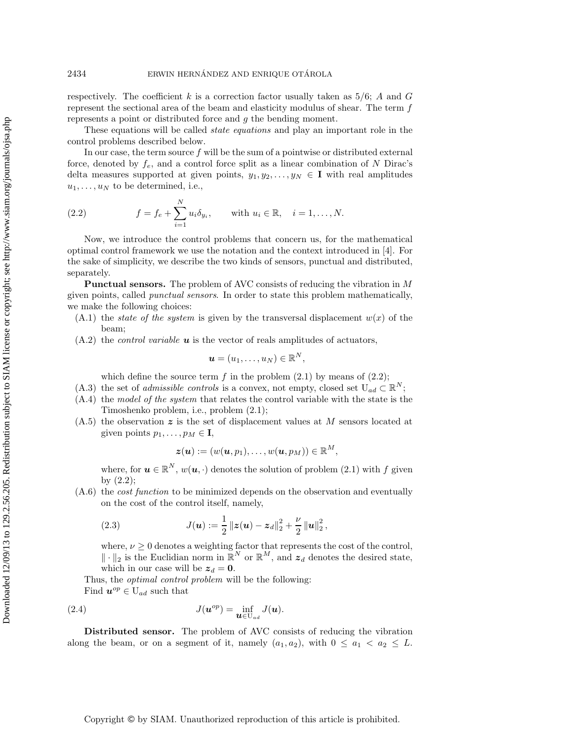respectively. The coefficient k is a correction factor usually taken as  $5/6$ ; A and G represent the sectional area of the beam and elasticity modulus of shear. The term  $f$ represents a point or distributed force and g the bending moment.

These equations will be called *state equations* and play an important role in the control problems described below.

In our case, the term source  $f$  will be the sum of a pointwise or distributed external force, denoted by  $f_e$ , and a control force split as a linear combination of N Dirac's delta measures supported at given points,  $y_1, y_2, \ldots, y_N \in I$  with real amplitudes  $u_1, \ldots, u_N$  to be determined, i.e.,

(2.2) 
$$
f = f_e + \sum_{i=1}^{N} u_i \delta_{y_i}
$$
, with  $u_i \in \mathbb{R}$ ,  $i = 1, ..., N$ .

Now, we introduce the control problems that concern us, for the mathematical optimal control framework we use the notation and the context introduced in [4]. For the sake of simplicity, we describe the two kinds of sensors, punctual and distributed, separately.

**Punctual sensors.** The problem of AVC consists of reducing the vibration in M given points, called *punctual sensors*. In order to state this problem mathematically, we make the following choices:

- $(A.1)$  the *state of the system* is given by the transversal displacement  $w(x)$  of the beam;
- (A.2) the *control variable u* is the vector of reals amplitudes of actuators,

$$
\boldsymbol{u}=(u_1,\ldots,u_N)\in\mathbb{R}^N,
$$

which define the source term  $f$  in the problem  $(2.1)$  by means of  $(2.2)$ ;

- (A.3) the set of *admissible controls* is a convex, not empty, closed set  $U_{ad} \subset \mathbb{R}^N$ ;
- (A.4) the *model of the system* that relates the control variable with the state is the Timoshenko problem, i.e., problem (2.1);
- (A.5) the observation *z* is the set of displacement values at M sensors located at given points  $p_1, \ldots, p_M \in I$ ,

$$
\boldsymbol{z}(\boldsymbol{u}):=(w(\boldsymbol{u},p_1),\ldots,w(\boldsymbol{u},p_M))\in\mathbb{R}^M,
$$

where, for  $u \in \mathbb{R}^N$ ,  $w(u, \cdot)$  denotes the solution of problem (2.1) with f given by (2.2);

(A.6) the *cost function* to be minimized depends on the observation and eventually on the cost of the control itself, namely,

(2.3) 
$$
J(\mathbf{u}) := \frac{1}{2} ||\mathbf{z}(\mathbf{u}) - \mathbf{z}_d||_2^2 + \frac{\nu}{2} ||\mathbf{u}||_2^2,
$$

where,  $\nu\geq 0$  denotes a weighting factor that represents the cost of the control,  $\|\cdot\|_2$  is the Euclidian norm in  $\mathbb{R}^N$  or  $\mathbb{R}^M$ , and  $z_d$  denotes the desired state, which in our case will be  $z_d = 0$ .

Thus, the *optimal control problem* will be the following: Find  $u^{op} \in U_{ad}$  such that

(2.4) 
$$
J(\mathbf{u}^{op}) = \inf_{\mathbf{u} \in U_{ad}} J(\mathbf{u}).
$$

**Distributed sensor.** The problem of AVC consists of reducing the vibration along the beam, or on a segment of it, namely  $(a_1, a_2)$ , with  $0 \le a_1 < a_2 \le L$ .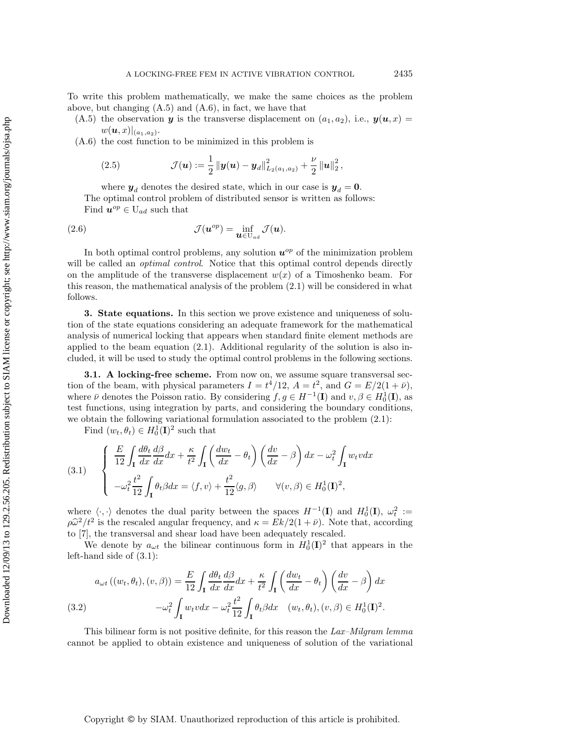To write this problem mathematically, we make the same choices as the problem above, but changing  $(A.5)$  and  $(A.6)$ , in fact, we have that

(A.5) the observation *y* is the transverse displacement on  $(a_1, a_2)$ , i.e.,  $y(u, x) =$  $w(\bm{u},x)|_{(a_1,a_2)}$ .

(A.6) the cost function to be minimized in this problem is

(2.5) 
$$
\mathcal{J}(\boldsymbol{u}) := \frac{1}{2} \left\| \boldsymbol{y}(\boldsymbol{u}) - \boldsymbol{y}_d \right\|_{L_2(a_1, a_2)}^2 + \frac{\nu}{2} \left\| \boldsymbol{u} \right\|_2^2,
$$

where  $y_d$  denotes the desired state, which in our case is  $y_d = 0$ . The optimal control problem of distributed sensor is written as follows: Find  $u^{op} \in U_{ad}$  such that

(2.6) 
$$
\mathcal{J}(\boldsymbol{u}^{op}) = \inf_{\boldsymbol{u} \in U_{ad}} \mathcal{J}(\boldsymbol{u}).
$$

In both optimal control problems, any solution  $u^{op}$  of the minimization problem will be called an *optimal control*. Notice that this optimal control depends directly on the amplitude of the transverse displacement  $w(x)$  of a Timoshenko beam. For this reason, the mathematical analysis of the problem (2.1) will be considered in what follows.

**3. State equations.** In this section we prove existence and uniqueness of solution of the state equations considering an adequate framework for the mathematical analysis of numerical locking that appears when standard finite element methods are applied to the beam equation (2.1). Additional regularity of the solution is also included, it will be used to study the optimal control problems in the following sections.

**3.1. A locking-free scheme.** From now on, we assume square transversal section of the beam, with physical parameters  $I = t^4/12$ ,  $A = t^2$ , and  $G = E/2(1 + \bar{\nu})$ , where  $\bar{\nu}$  denotes the Poisson ratio. By considering  $f, g \in H^{-1}(\mathbf{I})$  and  $v, \beta \in H_0^1(\mathbf{I})$ , as test functions, using integration by parts, and considering the boundary conditions, we obtain the following variational formulation associated to the problem (2.1):

Find  $(w_t, \theta_t) \in H_0^1(\mathbf{I})^2$  such that

(3.1) 
$$
\begin{cases} \frac{E}{12} \int_{\mathbf{I}} \frac{d\theta_t}{dx} \frac{d\beta}{dx} dx + \frac{\kappa}{t^2} \int_{\mathbf{I}} \left( \frac{dw_t}{dx} - \theta_t \right) \left( \frac{dv}{dx} - \beta \right) dx - \omega_t^2 \int_{\mathbf{I}} w_t v dx \\ - \omega_t^2 \frac{t^2}{12} \int_{\mathbf{I}} \theta_t \beta dx = \langle f, v \rangle + \frac{t^2}{12} \langle g, \beta \rangle \qquad \forall (v, \beta) \in H_0^1(\mathbf{I})^2, \end{cases}
$$

where  $\langle \cdot, \cdot \rangle$  denotes the dual parity between the spaces  $H^{-1}(\mathbf{I})$  and  $H_0^1(\mathbf{I}), \omega_t^2 :=$  $\rho \hat{\omega}^2 / t^2$  is the rescaled angular frequency, and  $\kappa = E k / 2(1 + \bar{\nu})$ . Note that, according to [7], the transversal and shear load have been adequately rescaled.

We denote by  $a_{\omega t}$  the bilinear continuous form in  $H_0^1(\mathbf{I})^2$  that appears in the left-hand side of (3.1):

(3.2)  

$$
a_{\omega t} ((w_t, \theta_t), (v, \beta)) = \frac{E}{12} \int_{\mathbf{I}} \frac{d\theta_t}{dx} \frac{d\beta}{dx} dx + \frac{\kappa}{t^2} \int_{\mathbf{I}} \left(\frac{dw_t}{dx} - \theta_t\right) \left(\frac{dv}{dx} - \beta\right) dx
$$

$$
-\omega_t^2 \int_{\mathbf{I}} w_t v dx - \omega_t^2 \frac{t^2}{12} \int_{\mathbf{I}} \theta_t \beta dx \quad (w_t, \theta_t), (v, \beta) \in H_0^1(\mathbf{I})^2.
$$

This bilinear form is not positive definite, for this reason the *Lax–Milgram lemma* cannot be applied to obtain existence and uniqueness of solution of the variational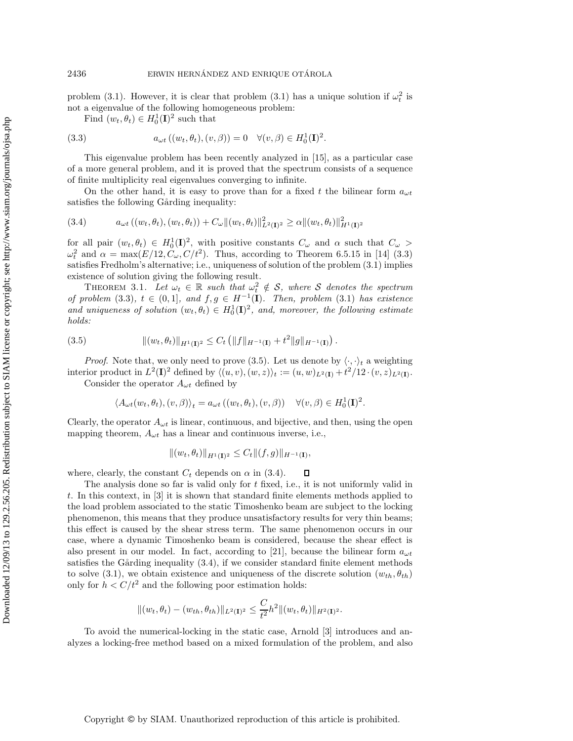problem (3.1). However, it is clear that problem (3.1) has a unique solution if  $\omega_t^2$  is not a eigenvalue of the following homogeneous problem:

Find  $(w_t, \theta_t) \in H_0^1(\mathbf{I})^2$  such that

(3.3) 
$$
a_{\omega t}((w_t, \theta_t), (v, \beta)) = 0 \quad \forall (v, \beta) \in H_0^1(\mathbf{I})^2.
$$

This eigenvalue problem has been recently analyzed in [15], as a particular case of a more general problem, and it is proved that the spectrum consists of a sequence of finite multiplicity real eigenvalues converging to infinite.

On the other hand, it is easy to prove than for a fixed t the bilinear form  $a_{\omega t}$ satisfies the following Gårding inequality:

$$
(3.4) \t a_{\omega t} ((w_t, \theta_t), (w_t, \theta_t)) + C_{\omega} ||(w_t, \theta_t)||_{L^2(\mathbf{I})^2}^2 \ge \alpha ||(w_t, \theta_t)||_{H^1(\mathbf{I})^2}^2
$$

for all pair  $(w_t, \theta_t) \in H_0^1(\mathbf{I})^2$ , with positive constants  $C_\omega$  and  $\alpha$  such that  $C_\omega$  $\omega_t^2$  and  $\alpha = \max(E/12, C_\omega, C/t^2)$ . Thus, according to Theorem 6.5.15 in [14] (3.3) satisfies Fredholm's alternative; i.e., uniqueness of solution of the problem (3.1) implies existence of solution giving the following result.

THEOREM 3.1. Let  $\omega_t \in \mathbb{R}$  such that  $\omega_t^2 \notin \mathcal{S}$ , where S denotes the spectrum *of problem* (3.3),  $t \in (0,1]$ *, and*  $f,g \in H^{-1}(\mathbf{I})$ *. Then, problem* (3.1) *has existence* and uniqueness of solution  $(w_t, \theta_t) \in H_0^1(\mathbf{I})^2$ , and, moreover, the following estimate *holds:*

(3.5) 
$$
\|(w_t, \theta_t)\|_{H^1(\mathbf{I})^2} \leq C_t \left( \|f\|_{H^{-1}(\mathbf{I})} + t^2 \|g\|_{H^{-1}(\mathbf{I})} \right).
$$

*Proof.* Note that, we only need to prove (3.5). Let us denote by  $\langle \cdot, \cdot \rangle_t$  a weighting interior product in  $L^2(\mathbf{I})^2$  defined by  $\langle (u, v), (w, z) \rangle_t := (u, w)_{L^2(\mathbf{I})} + t^2/12 \cdot (v, z)_{L^2(\mathbf{I})}$ .

Consider the operator  $A_{\omega t}$  defined by

$$
\langle A_{\omega t}(w_t, \theta_t), (v, \beta) \rangle_t = a_{\omega t} ((w_t, \theta_t), (v, \beta)) \quad \forall (v, \beta) \in H_0^1(\mathbf{I})^2.
$$

Clearly, the operator  $A_{\omega t}$  is linear, continuous, and bijective, and then, using the open mapping theorem,  $A_{\omega t}$  has a linear and continuous inverse, i.e.,

$$
||(w_t, \theta_t)||_{H^1(\mathbf{I})^2} \leq C_t ||(f, g)||_{H^{-1}(\mathbf{I})},
$$

where, clearly, the constant  $C_t$  depends on  $\alpha$  in (3.4).  $\Box$ 

The analysis done so far is valid only for t fixed, i.e., it is not uniformly valid in t. In this context, in [3] it is shown that standard finite elements methods applied to the load problem associated to the static Timoshenko beam are subject to the locking phenomenon, this means that they produce unsatisfactory results for very thin beams; this effect is caused by the shear stress term. The same phenomenon occurs in our case, where a dynamic Timoshenko beam is considered, because the shear effect is also present in our model. In fact, according to [21], because the bilinear form  $a_{\omega t}$ satisfies the Gårding inequality  $(3.4)$ , if we consider standard finite element methods to solve (3.1), we obtain existence and uniqueness of the discrete solution  $(w_{th}, \theta_{th})$ only for  $h < C/t^2$  and the following poor estimation holds:

$$
\|(w_t, \theta_t) - (w_{th}, \theta_{th})\|_{L^2(\mathbf{I})^2} \leq \frac{C}{t^2} h^2 \| (w_t, \theta_t) \|_{H^2(\mathbf{I})^2}.
$$

To avoid the numerical-locking in the static case, Arnold [3] introduces and analyzes a locking-free method based on a mixed formulation of the problem, and also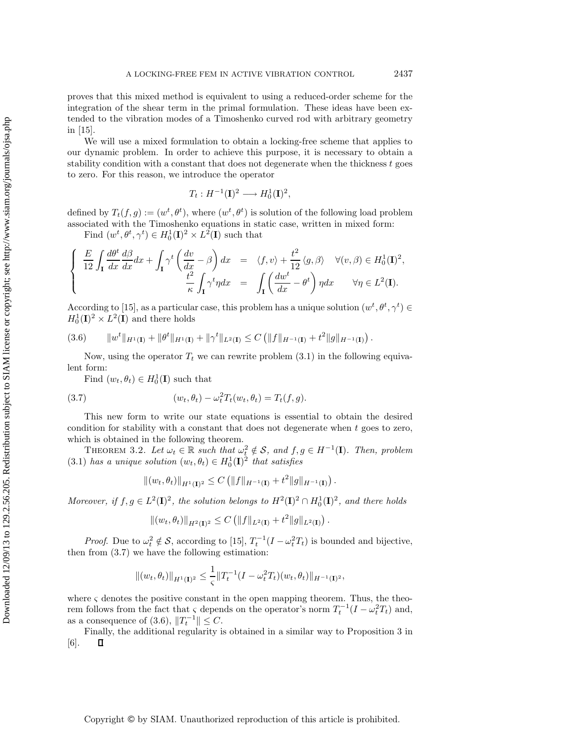proves that this mixed method is equivalent to using a reduced-order scheme for the integration of the shear term in the primal formulation. These ideas have been extended to the vibration modes of a Timoshenko curved rod with arbitrary geometry in [15].

We will use a mixed formulation to obtain a locking-free scheme that applies to our dynamic problem. In order to achieve this purpose, it is necessary to obtain a stability condition with a constant that does not degenerate when the thickness  $t$  goes to zero. For this reason, we introduce the operator

$$
T_t: H^{-1}(\mathbf{I})^2 \longrightarrow H_0^1(\mathbf{I})^2,
$$

defined by  $T_t(f,g) := (w^t, \theta^t)$ , where  $(w^t, \theta^t)$  is solution of the following load problem associated with the Timoshenko equations in static case, written in mixed form:

Find  $(w^t, \theta^t, \gamma^t) \in H_0^1(\mathbf{I})^2 \times L^2(\mathbf{I})$  such that

$$
\begin{cases}\n\frac{E}{12} \int_{\mathbf{I}} \frac{d\theta^{t}}{dx} \frac{d\beta}{dx} dx + \int_{\mathbf{I}} \gamma^{t} \left( \frac{dv}{dx} - \beta \right) dx & = \langle f, v \rangle + \frac{t^{2}}{12} \langle g, \beta \rangle \quad \forall (v, \beta) \in H_{0}^{1}(\mathbf{I})^{2}, \\
\frac{t^{2}}{\kappa} \int_{\mathbf{I}} \gamma^{t} \eta dx & = \int_{\mathbf{I}} \left( \frac{dw^{t}}{dx} - \theta^{t} \right) \eta dx \qquad \forall \eta \in L^{2}(\mathbf{I}).\n\end{cases}
$$

According to [15], as a particular case, this problem has a unique solution  $(w^t, \theta^t, \gamma^t) \in$  $H_0^1(\mathbf{I})^2 \times L^2(\mathbf{I})$  and there holds

$$
(3.6) \t ||w^{t}||_{H^{1}(\mathbf{I})} + ||\theta^{t}||_{H^{1}(\mathbf{I})} + ||\gamma^{t}||_{L^{2}(\mathbf{I})} \leq C (||f||_{H^{-1}(\mathbf{I})} + t^{2}||g||_{H^{-1}(\mathbf{I})}).
$$

Now, using the operator  $T_t$  we can rewrite problem  $(3.1)$  in the following equivalent form:

Find  $(w_t, \theta_t) \in H_0^1(\mathbf{I})$  such that

(3.7) 
$$
(w_t, \theta_t) - \omega_t^2 T_t(w_t, \theta_t) = T_t(f, g).
$$

This new form to write our state equations is essential to obtain the desired condition for stability with a constant that does not degenerate when t goes to zero, which is obtained in the following theorem.

THEOREM 3.2. Let  $\omega_t \in \mathbb{R}$  such that  $\omega_t^2 \notin \mathcal{S}$ , and  $f, g \in H^{-1}(\mathbf{I})$ . Then, problem  $(3.1)$  *has a unique solution*  $(w_t, \theta_t) \in H_0^1(\mathbf{I})^2$  *that satisfies* 

$$
||(w_t, \theta_t)||_{H^1(\mathbf{I})^2} \leq C (||f||_{H^{-1}(\mathbf{I})} + t^2 ||g||_{H^{-1}(\mathbf{I})}).
$$

*Moreover, if*  $f, g \in L^2(\mathbf{I})^2$ *, the solution belongs to*  $H^2(\mathbf{I})^2 \cap H_0^1(\mathbf{I})^2$ *, and there holds* 

$$
||(w_t, \theta_t)||_{H^2(\mathbf{I})^2} \leq C (||f||_{L^2(\mathbf{I})} + t^2 ||g||_{L^2(\mathbf{I})}).
$$

*Proof.* Due to  $\omega_t^2 \notin \mathcal{S}$ , according to [15],  $T_t^{-1}(I - \omega_t^2 T_t)$  is bounded and bijective, then from (3.7) we have the following estimation:

$$
\|(w_t, \theta_t)\|_{H^1(\mathbf{I})^2} \leq \frac{1}{\varsigma} \|T_t^{-1}(I - \omega_t^2 T_t)(w_t, \theta_t)\|_{H^{-1}(\mathbf{I})^2},
$$

where  $\varsigma$  denotes the positive constant in the open mapping theorem. Thus, the theorem follows from the fact that  $\varsigma$  depends on the operator's norm  $T_t^{-1}(I - \omega_t^2 T_t)$  and, as a consequence of (3.6),  $||T_t^{-1}|| \leq C$ .

Finally, the additional regularity is obtained in a similar way to Proposition 3 in [6].  $\Box$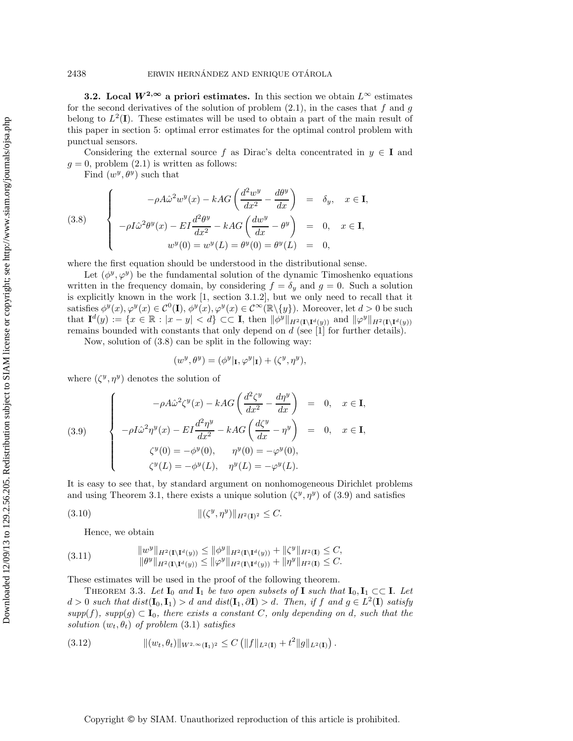**3.2.** Local  $W^{2,\infty}$  a priori estimates. In this section we obtain  $L^{\infty}$  estimates for the second derivatives of the solution of problem  $(2.1)$ , in the cases that f and g belong to  $L^2(I)$ . These estimates will be used to obtain a part of the main result of this paper in section 5: optimal error estimates for the optimal control problem with punctual sensors.

Considering the external source f as Dirac's delta concentrated in  $y \in I$  and  $g = 0$ , problem  $(2.1)$  is written as follows:

Find  $(w^y, \theta^y)$  such that

(3.8) 
$$
\begin{cases}\n-\rho A \hat{\omega}^2 w^y(x) - kAG \left( \frac{d^2 w^y}{dx^2} - \frac{d\theta^y}{dx} \right) & = \delta_y, \quad x \in \mathbf{I}, \\
-\rho I \hat{\omega}^2 \theta^y(x) - EI \frac{d^2 \theta^y}{dx^2} - kAG \left( \frac{dw^y}{dx} - \theta^y \right) & = 0, \quad x \in \mathbf{I}, \\
w^y(0) = w^y(L) = \theta^y(0) = \theta^y(L) & = 0,\n\end{cases}
$$

where the first equation should be understood in the distributional sense.

Let  $(\phi^y, \varphi^y)$  be the fundamental solution of the dynamic Timoshenko equations written in the frequency domain, by considering  $f = \delta_y$  and  $g = 0$ . Such a solution is explicitly known in the work [1, section 3.1.2], but we only need to recall that it satisfies  $\phi^y(x), \varphi^y(x) \in C^0(\mathbf{I}), \phi^y(x), \varphi^y(x) \in C^\infty(\mathbb{R} \setminus \{y\})$ . Moreover, let  $d > 0$  be such that  $\mathbf{I}^d(y) := \{x \in \mathbb{R} : |x - y| < d\} \subset \subset \mathbf{I}$ , then  $\|\phi^y\|_{H^2(\mathbf{I}\setminus\mathbf{I}^d(y))}$  and  $\|\varphi^y\|_{H^2(\mathbf{I}\setminus\mathbf{I}^d(y))}$ remains bounded with constants that only depend on d (see [1] for further details).

Now, solution of (3.8) can be split in the following way:

$$
(w^y, \theta^y) = (\phi^y |_{\mathbf{I}}, \varphi^y |_{\mathbf{I}}) + (\zeta^y, \eta^y),
$$

where  $(\zeta^y, \eta^y)$  denotes the solution of

(3.9)  

$$
\begin{cases}\n-\rho A \hat{\omega}^2 \zeta^y(x) - kAG \left( \frac{d^2 \zeta^y}{dx^2} - \frac{d\eta^y}{dx} \right) = 0, & x \in \mathbf{I}, \\
-\rho I \hat{\omega}^2 \eta^y(x) - EI \frac{d^2 \eta^y}{dx^2} - kAG \left( \frac{d\zeta^y}{dx} - \eta^y \right) = 0, & x \in \mathbf{I}, \\
\zeta^y(0) = -\phi^y(0), & \eta^y(0) = -\varphi^y(0), \\
\zeta^y(L) = -\phi^y(L), & \eta^y(L) = -\varphi^y(L).\n\end{cases}
$$

It is easy to see that, by standard argument on nonhomogeneous Dirichlet problems and using Theorem 3.1, there exists a unique solution  $(\zeta^y, \eta^y)$  of (3.9) and satisfies

(3.10) 
$$
\|(\zeta^y, \eta^y)\|_{H^2(\mathbf{I})^2} \leq C.
$$

Hence, we obtain

$$
(3.11) \t\t\t\t\|w^y\|_{H^2(\mathbf{I}\setminus\mathbf{I}^d(y))} \le \|\phi^y\|_{H^2(\mathbf{I}\setminus\mathbf{I}^d(y))} + \|\zeta^y\|_{H^2(\mathbf{I})} \le C,
$$
  

$$
\|\theta^y\|_{H^2(\mathbf{I}\setminus\mathbf{I}^d(y))} \le \|\phi^y\|_{H^2(\mathbf{I}\setminus\mathbf{I}^d(y))} + \|\eta^y\|_{H^2(\mathbf{I})} \le C.
$$

These estimates will be used in the proof of the following theorem.

THEOREM 3.3. Let  $I_0$  and  $I_1$  be two open subsets of **I** such that  $I_0, I_1 \subset\subset I$ . Let d > 0 *such that* dist(**I**0, **I**1) > d *and dist*(**I**1, ∂**I**) > d*. Then, if* f *and* g ∈ L<sup>2</sup>(**I**) *satisfy*  $supp(f)$ *, supp* $(g) \subset I_0$ *, there exists a constant* C*, only depending on d, such that the solution*  $(w_t, \theta_t)$  *of problem*  $(3.1)$  *satisfies* 

(3.12) 
$$
\|(w_t, \theta_t)\|_{W^{2,\infty}(\mathbf{I}_1)^2} \leq C \left( \|f\|_{L^2(\mathbf{I})} + t^2 \|g\|_{L^2(\mathbf{I})} \right).
$$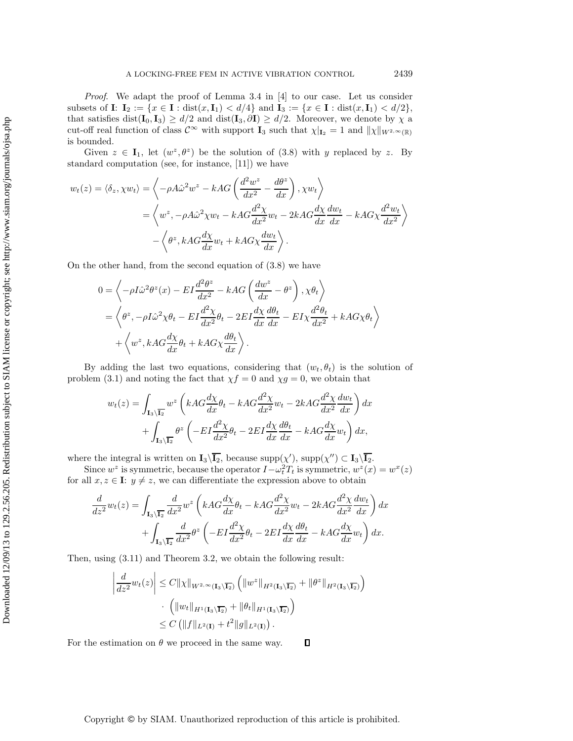*Proof*. We adapt the proof of Lemma 3.4 in [4] to our case. Let us consider subsets of **I**:  $I_2 := \{x \in I : \text{dist}(x, I_1) < d/4\}$  and  $I_3 := \{x \in I : \text{dist}(x, I_1) < d/2\}$ , that satisfies dist( $\mathbf{I}_0$ ,  $\mathbf{I}_3$ )  $\geq d/2$  and dist( $\mathbf{I}_3$ ,  $\partial \mathbf{I}$ )  $\geq d/2$ . Moreover, we denote by  $\chi$  a cut-off real function of class  $\mathcal{C}^{\infty}$  with support **I**<sub>3</sub> such that  $\chi|_{\mathbf{I}_2} = 1$  and  $\|\chi\|_{W^{2,\infty}(\mathbb{R})}$ is bounded.

Given  $z \in I_1$ , let  $(w^z, \theta^z)$  be the solution of (3.8) with y replaced by z. By standard computation (see, for instance, [11]) we have

$$
w_t(z) = \langle \delta_z, \chi w_t \rangle = \left\langle -\rho A \hat{\omega}^2 w^z - kAG \left( \frac{d^2 w^z}{dx^2} - \frac{d\theta^z}{dx} \right), \chi w_t \right\rangle
$$
  

$$
= \left\langle w^z, -\rho A \hat{\omega}^2 \chi w_t - kAG \frac{d^2 \chi}{dx^2} w_t - 2kAG \frac{d\chi}{dx} \frac{dw_t}{dx} - kAG \chi \frac{d^2 w_t}{dx^2} \right\rangle
$$
  

$$
- \left\langle \theta^z, kAG \frac{d\chi}{dx} w_t + kAG \chi \frac{dw_t}{dx} \right\rangle.
$$

On the other hand, from the second equation of (3.8) we have

$$
0 = \left\langle -\rho I \hat{\omega}^2 \theta^z(x) - EI \frac{d^2 \theta^z}{dx^2} - kAG \left( \frac{dw^z}{dx} - \theta^z \right), \chi \theta_t \right\rangle
$$
  
=  $\left\langle \theta^z, -\rho I \hat{\omega}^2 \chi \theta_t - EI \frac{d^2 \chi}{dx^2} \theta_t - 2EI \frac{d\chi}{dx} \frac{d\theta_t}{dx} - EI \chi \frac{d^2 \theta_t}{dx^2} + kAG \chi \theta_t \right\rangle$   
+  $\left\langle w^z, kAG \frac{d\chi}{dx} \theta_t + kAG \chi \frac{d\theta_t}{dx} \right\rangle.$ 

By adding the last two equations, considering that  $(w_t, \theta_t)$  is the solution of problem (3.1) and noting the fact that  $\chi f = 0$  and  $\chi g = 0$ , we obtain that

$$
w_t(z) = \int_{\mathbf{I}_3 \setminus \overline{\mathbf{I}_2}} w^z \left( kAG \frac{d\chi}{dx} \theta_t - kAG \frac{d^2 \chi}{dx^2} w_t - 2kAG \frac{d^2 \chi}{dx^2} \frac{dw_t}{dx} \right) dx
$$

$$
+ \int_{\mathbf{I}_3 \setminus \overline{\mathbf{I}_2}} \theta^z \left( -EI \frac{d^2 \chi}{dx^2} \theta_t - 2EI \frac{d\chi}{dx} \frac{d\theta_t}{dx} - kAG \frac{d\chi}{dx} w_t \right) dx,
$$

where the integral is written on  $I_3\backslash\overline{I_2}$ , because  $supp(\chi')$ ,  $supp(\chi'') \subset I_3\backslash\overline{I_2}$ .

Since  $w^z$  is symmetric, because the operator  $I - \omega_t^2 T_t$  is symmetric,  $w^z(x) = w^x(z)$ for all  $x, z \in \mathbf{I}$ :  $y \neq z$ , we can differentiate the expression above to obtain

$$
\frac{d}{dz^2}w_t(z) = \int_{\mathbf{I}_3\backslash\overline{\mathbf{I}_2}} \frac{d}{dx^2} w^z \left(kAG\frac{d\chi}{dx}\theta_t - kAG\frac{d^2\chi}{dx^2}w_t - 2kAG\frac{d^2\chi}{dx^2}\frac{dw_t}{dx}\right) dx \n+ \int_{\mathbf{I}_3\backslash\overline{\mathbf{I}_2}} \frac{d}{dx^2} \theta^z \left(-EI\frac{d^2\chi}{dx^2}\theta_t - 2EI\frac{d\chi}{dx}\frac{d\theta_t}{dx} - kAG\frac{d\chi}{dx}w_t\right) dx.
$$

Then, using (3.11) and Theorem 3.2, we obtain the following result:

$$
\left| \frac{d}{dz^2} w_t(z) \right| \leq C ||\chi||_{W^{2,\infty}(\mathbf{I}_3 \setminus \overline{\mathbf{I}_2})} \left( ||w^z||_{H^2(\mathbf{I}_3 \setminus \overline{\mathbf{I}_2})} + ||\theta^z||_{H^2(\mathbf{I}_3 \setminus \overline{\mathbf{I}_2})} \right) \cdot \left( ||w_t||_{H^1(\mathbf{I}_3 \setminus \overline{\mathbf{I}_2})} + ||\theta_t||_{H^1(\mathbf{I}_3 \setminus \overline{\mathbf{I}_2})} \right) \leq C \left( ||f||_{L^2(\mathbf{I})} + t^2 ||g||_{L^2(\mathbf{I})} \right).
$$

 $\Box$ For the estimation on  $\theta$  we proceed in the same way.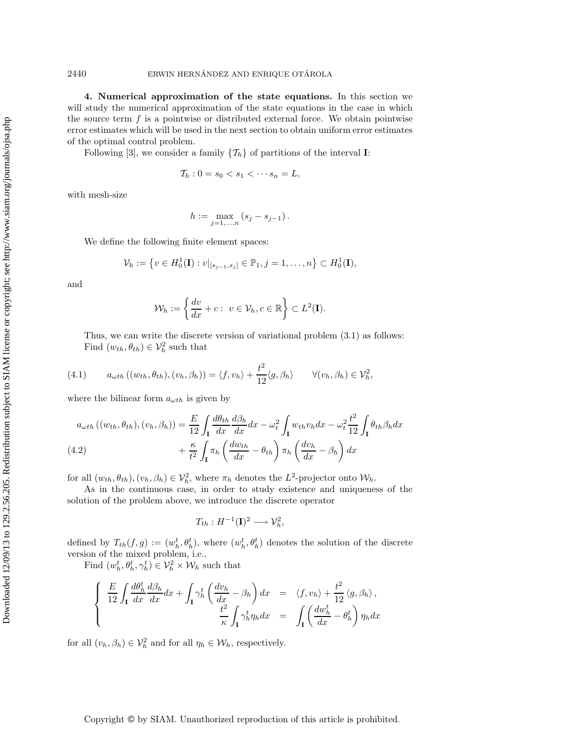**4. Numerical approximation of the state equations.** In this section we will study the numerical approximation of the state equations in the case in which the source term  $f$  is a pointwise or distributed external force. We obtain pointwise error estimates which will be used in the next section to obtain uniform error estimates of the optimal control problem.

Following [3], we consider a family  $\{\mathcal{T}_h\}$  of partitions of the interval **I**:

$$
\mathcal{T}_h: 0 = s_0 < s_1 < \cdots s_n = L,
$$

with mesh-size

$$
h:=\max_{j=1,...,n}\left(s_{j}-s_{j-1}\right).
$$

We define the following finite element spaces:

$$
\mathcal{V}_h := \left\{ v \in H_0^1(\mathbf{I}) : v|_{[s_{j-1}, s_j]} \in \mathbb{P}_1, j = 1, \dots, n \right\} \subset H_0^1(\mathbf{I}),
$$

and

$$
\mathcal{W}_h := \left\{ \frac{dv}{dx} + c : v \in \mathcal{V}_h, c \in \mathbb{R} \right\} \subset L^2(\mathbf{I}).
$$

Thus, we can write the discrete version of variational problem (3.1) as follows: Find  $(w_{th}, \theta_{th}) \in \mathcal{V}_h^2$  such that

(4.1) 
$$
a_{\omega th} ((w_{th}, \theta_{th}), (v_h, \beta_h)) = \langle f, v_h \rangle + \frac{t^2}{12} \langle g, \beta_h \rangle \qquad \forall (v_h, \beta_h) \in \mathcal{V}_h^2,
$$

where the bilinear form  $a_{\omega th}$  is given by

$$
a_{\omega th}((w_{th}, \theta_{th}), (v_h, \beta_h)) = \frac{E}{12} \int_{\mathbf{I}} \frac{d\theta_{th}}{dx} \frac{d\beta_h}{dx} dx - \omega_t^2 \int_{\mathbf{I}} w_{th} v_h dx - \omega_t^2 \frac{t^2}{12} \int_{\mathbf{I}} \theta_{th} \beta_h dx
$$
  
(4.2) 
$$
+ \frac{\kappa}{t^2} \int_{\mathbf{I}} \pi_h \left( \frac{dw_{th}}{dx} - \theta_{th} \right) \pi_h \left( \frac{dv_h}{dx} - \beta_h \right) dx
$$

for all  $(w_{th}, \theta_{th}), (v_h, \beta_h) \in \mathcal{V}_h^2$ , where  $\pi_h$  denotes the  $L^2$ -projector onto  $\mathcal{W}_h$ .

As in the continuous case, in order to study existence and uniqueness of the solution of the problem above, we introduce the discrete operator

$$
T_{th}:H^{-1}(\mathbf{I})^2\longrightarrow \mathcal{V}_h^2,
$$

defined by  $T_{th}(f,g) := (w_h^t, \theta_h^t)$ , where  $(w_h^t, \theta_h^t)$  denotes the solution of the discrete version of the mixed problem, i.e.,

Find  $(w_h^t, \theta_h^t, \gamma_h^t) \in \mathcal{V}_h^2 \times \mathcal{W}_h$  such that

$$
\begin{cases}\n\frac{E}{12} \int_{\mathbf{I}} \frac{d\theta_h^t}{dx} \frac{d\beta_h}{dx} dx + \int_{\mathbf{I}} \gamma_h^t \left( \frac{dv_h}{dx} - \beta_h \right) dx = \langle f, v_h \rangle + \frac{t^2}{12} \langle g, \beta_h \rangle, \\
\frac{t^2}{\kappa} \int_{\mathbf{I}} \gamma_h^t \eta_h dx = \int_{\mathbf{I}} \left( \frac{dv_h^t}{dx} - \theta_h^t \right) \eta_h dx\n\end{cases}
$$

for all  $(v_h, \beta_h) \in \mathcal{V}_h^2$  and for all  $\eta_h \in \mathcal{W}_h$ , respectively.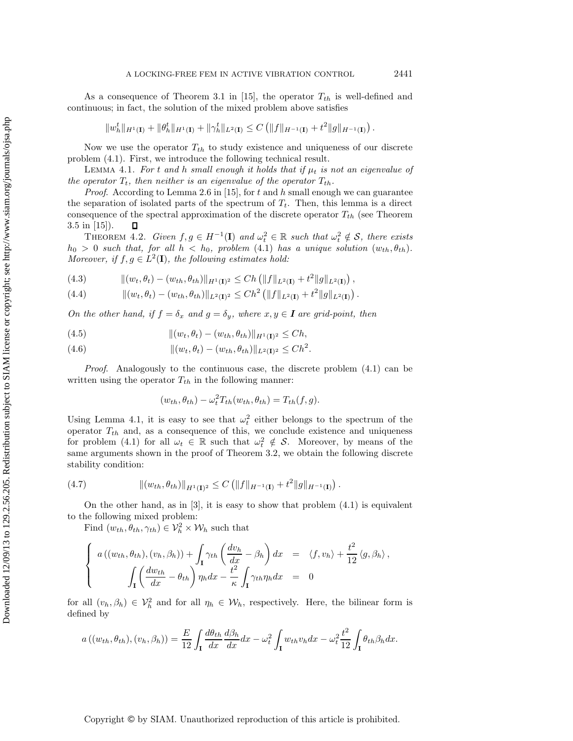As a consequence of Theorem 3.1 in [15], the operator  $T_{th}$  is well-defined and continuous; in fact, the solution of the mixed problem above satisfies

$$
||w_h^t||_{H^1(\mathbf{I})} + ||\theta_h^t||_{H^1(\mathbf{I})} + ||\gamma_h^t||_{L^2(\mathbf{I})} \leq C \left( ||f||_{H^{-1}(\mathbf{I})} + t^2 ||g||_{H^{-1}(\mathbf{I})} \right).
$$

Now we use the operator  $T_{th}$  to study existence and uniqueness of our discrete problem (4.1). First, we introduce the following technical result.

LEMMA 4.1. *For* t and h small enough it holds that if  $\mu_t$  is not an eigenvalue of *the operator*  $T_t$ *, then neither is an eigenvalue of the operator*  $T_{th}$ *.* 

*Proof.* According to Lemma 2.6 in [15], for t and h small enough we can guarantee the separation of isolated parts of the spectrum of  $T_t$ . Then, this lemma is a direct consequence of the spectral approximation of the discrete operator  $T_{th}$  (see Theorem 3.5 in [15]).  $\Box$ 

THEOREM 4.2. *Given*  $f, g \in H^{-1}(\mathbf{I})$  and  $\omega_t^2 \in \mathbb{R}$  such that  $\omega_t^2 \notin \mathcal{S}$ , there exists  $h_0 > 0$  *such that, for all*  $h < h_0$ *, problem* (4.1) *has a unique solution*  $(w_{th}, \theta_{th})$ *. Moreover, if*  $f, g \in L^2(\mathbf{I})$ *, the following estimates hold:* 

(4.3) 
$$
\| (w_t, \theta_t) - (w_{th}, \theta_{th}) \|_{H^1(\mathbf{I})^2} \le Ch \left( \| f \|_{L^2(\mathbf{I})} + t^2 \| g \|_{L^2(\mathbf{I})} \right),
$$

(4.4) 
$$
\| (w_t, \theta_t) - (w_{th}, \theta_{th}) \|_{L^2(\mathbf{I})^2} \leq Ch^2 \left( \| f \|_{L^2(\mathbf{I})} + t^2 \| g \|_{L^2(\mathbf{I})} \right).
$$

*On the other hand, if*  $f = \delta_x$  *and*  $g = \delta_y$ *, where*  $x, y \in I$  *are grid-point, then* 

(4.5) 
$$
\| (w_t, \theta_t) - (w_{th}, \theta_{th}) \|_{H^1(\mathbf{I})^2} \leq Ch,
$$

(4.6) 
$$
\| (w_t, \theta_t) - (w_{th}, \theta_{th}) \|_{L^2(\mathbf{I})^2} \leq C h^2.
$$

*Proof.* Analogously to the continuous case, the discrete problem  $(4.1)$  can be written using the operator  $T_{th}$  in the following manner:

$$
(w_{th}, \theta_{th}) - \omega_t^2 T_{th}(w_{th}, \theta_{th}) = T_{th}(f, g).
$$

Using Lemma 4.1, it is easy to see that  $\omega_t^2$  either belongs to the spectrum of the operator  $T_{th}$  and, as a consequence of this, we conclude existence and uniqueness for problem (4.1) for all  $\omega_t \in \mathbb{R}$  such that  $\omega_t^2 \notin \mathcal{S}$ . Moreover, by means of the same arguments shown in the proof of Theorem 3.2, we obtain the following discrete stability condition:

(4.7) 
$$
\| (w_{th}, \theta_{th}) \|_{H^1(\mathbf{I})^2} \leq C \left( \| f \|_{H^{-1}(\mathbf{I})} + t^2 \| g \|_{H^{-1}(\mathbf{I})} \right).
$$

On the other hand, as in  $[3]$ , it is easy to show that problem  $(4.1)$  is equivalent to the following mixed problem:

Find  $(w_{th}, \theta_{th}, \gamma_{th}) \in \mathcal{V}_h^2 \times \mathcal{W}_h$  such that

$$
\begin{cases}\n a\left((w_{th},\theta_{th}), (v_h, \beta_h)\right) + \int_{\mathbf{I}} \gamma_{th} \left(\frac{dv_h}{dx} - \beta_h\right) dx = \langle f, v_h \rangle + \frac{t^2}{12} \langle g, \beta_h \rangle, \\
\int_{\mathbf{I}} \left(\frac{dw_{th}}{dx} - \theta_{th}\right) \eta_h dx - \frac{t^2}{\kappa} \int_{\mathbf{I}} \gamma_{th} \eta_h dx = 0\n\end{cases}
$$

for all  $(v_h, \beta_h) \in V_h^2$  and for all  $\eta_h \in W_h$ , respectively. Here, the bilinear form is defined by

$$
a((w_{th}, \theta_{th}), (v_h, \beta_h)) = \frac{E}{12} \int_{\mathbf{I}} \frac{d\theta_{th}}{dx} \frac{d\beta_h}{dx} dx - \omega_t^2 \int_{\mathbf{I}} w_{th} v_h dx - \omega_t^2 \frac{t^2}{12} \int_{\mathbf{I}} \theta_{th} \beta_h dx.
$$

Downloaded 12/09/13 to 129.2.56.205. Redistribution subject to SIAM license or copyright; see http://www.siam.org/journals/ojsa.php Downloaded 12/09/13 to 129.2.56.205. Redistribution subject to SIAM license or copyright; see http://www.siam.org/journals/ojsa.php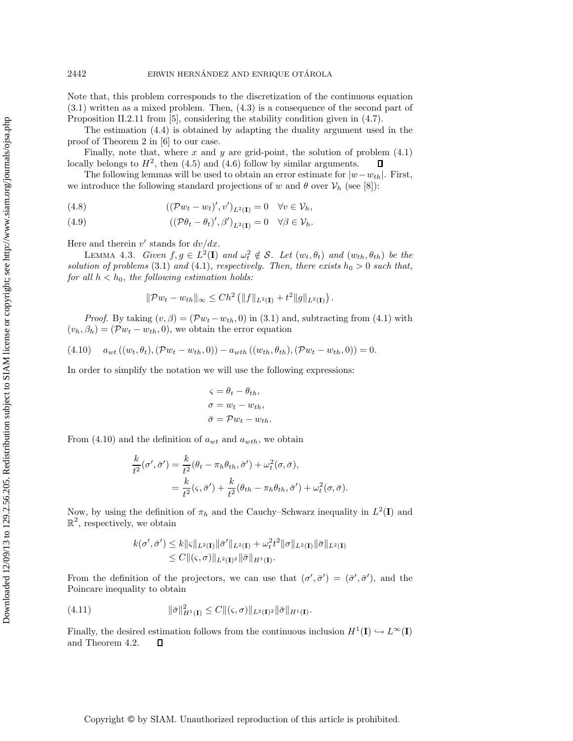Note that, this problem corresponds to the discretization of the continuous equation (3.1) written as a mixed problem. Then, (4.3) is a consequence of the second part of Proposition II.2.11 from [5], considering the stability condition given in (4.7).

The estimation (4.4) is obtained by adapting the duality argument used in the proof of Theorem 2 in [6] to our case.

Finally, note that, where x and y are grid-point, the solution of problem  $(4.1)$ locally belongs to  $H^2$ , then (4.5) and (4.6) follow by similar arguments.  $\Box$ 

The following lemmas will be used to obtain an error estimate for  $|w-w_{th}|$ . First, we introduce the following standard projections of w and  $\theta$  over  $\mathcal{V}_h$  (see [8]):

(4.8) 
$$
((\mathcal{P}w_t - w_t)', v')_{L^2(\mathbf{I})} = 0 \quad \forall v \in \mathcal{V}_h,
$$

(4.9) 
$$
((\mathcal{P}\theta_t - \theta_t)', \beta')_{L^2(\mathbf{I})} = 0 \quad \forall \beta \in \mathcal{V}_h.
$$

Here and therein v' stands for  $dv/dx$ .

LEMMA 4.3. *Given*  $f, g \in L^2(\mathbf{I})$  *and*  $\omega_t^2 \notin \mathcal{S}$ . Let  $(w_t, \theta_t)$  *and*  $(w_{th}, \theta_{th})$  *be the solution of problems* (3.1) *and* (4.1)*, respectively. Then, there exists*  $h_0 > 0$  *such that, for all*  $h < h_0$ *, the following estimation holds:* 

$$
\|\mathcal{P} w_t - w_{th}\|_{\infty} \le C h^2 \left( \|f\|_{L^2(\mathbf{I})} + t^2 \|g\|_{L^2(\mathbf{I})} \right)
$$

.

*Proof.* By taking  $(v, \beta) = (Pw_t - w_{th}, 0)$  in (3.1) and, subtracting from (4.1) with  $(v_h, \beta_h) = (\mathcal{P}w_t - w_{th}, 0)$ , we obtain the error equation

$$
(4.10) \t a_{wt} ((w_t, \theta_t), (\mathcal{P}w_t - w_{th}, 0)) - a_{wth} ((w_{th}, \theta_{th}), (\mathcal{P}w_t - w_{th}, 0)) = 0.
$$

In order to simplify the notation we will use the following expressions:

$$
\varsigma = \theta_t - \theta_{th},
$$
  
\n
$$
\sigma = w_t - w_{th},
$$
  
\n
$$
\bar{\sigma} = \mathcal{P}w_t - w_{th}.
$$

From (4.10) and the definition of  $a_{wt}$  and  $a_{wth}$ , we obtain

$$
\frac{k}{t^2}(\sigma', \bar{\sigma}') = \frac{k}{t^2}(\theta_t - \pi_h \theta_{th}, \bar{\sigma}') + \omega_t^2(\sigma, \bar{\sigma}),
$$
  
= 
$$
\frac{k}{t^2}(\varsigma, \bar{\sigma}') + \frac{k}{t^2}(\theta_{th} - \pi_h \theta_{th}, \bar{\sigma}') + \omega_t^2(\sigma, \bar{\sigma}).
$$

Now, by using the definition of  $\pi_h$  and the Cauchy–Schwarz inequality in  $L^2(I)$  and  $\mathbb{R}^2$ , respectively, we obtain

$$
k(\sigma', \bar{\sigma}') \leq k ||\varsigma||_{L^2(\mathbf{I})} ||\bar{\sigma}'||_{L^2(\mathbf{I})} + \omega_t^2 t^2 ||\sigma||_{L^2(\mathbf{I})} ||\bar{\sigma}||_{L^2(\mathbf{I})} \leq C ||(\varsigma, \sigma)||_{L^2(\mathbf{I})^2} ||\bar{\sigma}||_{H^1(\mathbf{I})}.
$$

From the definition of the projectors, we can use that  $(\sigma', \bar{\sigma}') = (\bar{\sigma}', \bar{\sigma}')$ , and the Poincare inequality to obtain

(4.11) 
$$
\|\bar{\sigma}\|_{H^1(\mathbf{I})}^2 \leq C \|(\varsigma, \sigma)\|_{L^2(\mathbf{I})^2} \|\bar{\sigma}\|_{H^1(\mathbf{I})}.
$$

Finally, the desired estimation follows from the continuous inclusion  $H^1(\mathbf{I}) \hookrightarrow L^{\infty}(\mathbf{I})$ and Theorem 4.2.  $\Box$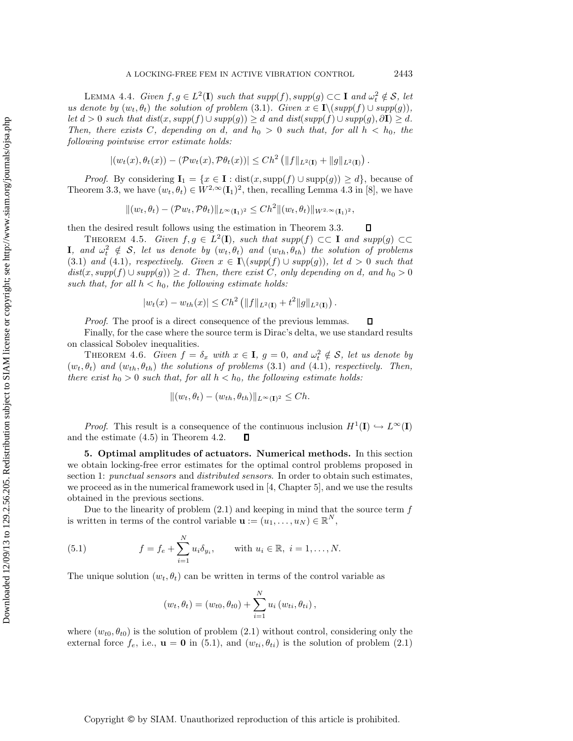LEMMA 4.4. *Given*  $f, g \in L^2(\mathbf{I})$  *such that*  $supp(f), supp(g) \subset \subset \mathbf{I}$  *and*  $\omega_t^2 \notin \mathcal{S}$ *, let us denote by*  $(w_t, \theta_t)$  *the solution of problem* (3.1)*. Given*  $x \in I \setminus (supp(f) \cup supp(g))$ *, let*  $d > 0$  *such that dist*( $x$ ,  $supp(f) \cup supp(g)$ ) ≥ d *and dist*( $supp(f) \cup supp(g)$ ,  $\partial$ **I**) ≥ d. *Then, there exists* C, depending on d, and  $h_0 > 0$  such that, for all  $h < h_0$ , the *following pointwise error estimate holds:*

$$
|(w_t(x), \theta_t(x)) - (\mathcal{P}w_t(x), \mathcal{P}\theta_t(x))| \leq Ch^2 \left( ||f||_{L^2(\mathbf{I})} + ||g||_{L^2(\mathbf{I})} \right).
$$

*Proof.* By considering  $I_1 = \{x \in I : dist(x, supp(f) \cup supp(g)) \ge d\}$ , because of Theorem 3.3, we have  $(w_t, \theta_t) \in W^{2,\infty}(\mathbf{I}_1)^2$ , then, recalling Lemma 4.3 in [8], we have

$$
\|(w_t, \theta_t) - (\mathcal{P}w_t, \mathcal{P}\theta_t)\|_{L^\infty(\mathbf{I}_1)^2} \le Ch^2 \|(w_t, \theta_t)\|_{W^{2,\infty}(\mathbf{I}_1)^2},
$$

then the desired result follows using the estimation in Theorem 3.3.  $\Box$ 

THEOREM 4.5. *Given*  $f, g \in L^2(\mathbf{I})$ *, such that*  $supp(f) \subset\subset \mathbf{I}$  *and*  $supp(g) \subset\subset$ **I***, and*  $\omega_t^2 \notin S$ *, let us denote by*  $(w_t, \theta_t)$  *and*  $(w_{th}, \theta_{th})$  *the solution of problems* (3.1) *and* (4.1)*, respectively. Given*  $x \in I \setminus (supp(f) \cup supp(g))$ *, let*  $d > 0$  *such that*  $dist(x, supp(f) ∪ supp(g)) ≥ d$ . Then, there exist C, only depending on d, and  $h_0 > 0$ such that, for all  $h < h_0$ , the following estimate holds:

$$
|w_t(x) - w_{th}(x)| \leq Ch^2 \left( \|f\|_{L^2(\mathbf{I})} + t^2 \|g\|_{L^2(\mathbf{I})} \right).
$$

*Proof.* The proof is a direct consequence of the previous lemmas.

Finally, for the case where the source term is Dirac's delta, we use standard results on classical Sobolev inequalities.

THEOREM 4.6. *Given*  $f = \delta_x$  *with*  $x \in I$ ,  $g = 0$ , and  $\omega_t^2 \notin S$ , let us denote by  $(w_t, \theta_t)$  *and*  $(w_{th}, \theta_{th})$  *the solutions of problems* (3.1) *and* (4.1)*, respectively. Then, there exist*  $h_0 > 0$  *such that, for all*  $h < h_0$ *, the following estimate holds:* 

$$
||(w_t, \theta_t) - (w_{th}, \theta_{th})||_{L^{\infty}(\mathbf{I})^2} \leq Ch.
$$

*Proof.* This result is a consequence of the continuous inclusion  $H^1(\mathbf{I}) \hookrightarrow L^{\infty}(\mathbf{I})$ and the estimate (4.5) in Theorem 4.2.  $\Box$ 

**5. Optimal amplitudes of actuators. Numerical methods.** In this section we obtain locking-free error estimates for the optimal control problems proposed in section 1: *punctual sensors* and *distributed sensors*. In order to obtain such estimates, we proceed as in the numerical framework used in [4, Chapter 5], and we use the results obtained in the previous sections.

Due to the linearity of problem  $(2.1)$  and keeping in mind that the source term  $f$ is written in terms of the control variable  $\mathbf{u} := (u_1, \ldots, u_N) \in \mathbb{R}^N$ ,

(5.1) 
$$
f = f_e + \sum_{i=1}^{N} u_i \delta_{y_i}
$$
, with  $u_i \in \mathbb{R}$ ,  $i = 1, ..., N$ .

The unique solution  $(w_t, \theta_t)$  can be written in terms of the control variable as

$$
(w_t, \theta_t) = (w_{t0}, \theta_{t0}) + \sum_{i=1}^{N} u_i (w_{ti}, \theta_{ti}),
$$

where  $(w_{t0}, \theta_{t0})$  is the solution of problem (2.1) without control, considering only the external force  $f_e$ , i.e.,  $\mathbf{u} = \mathbf{0}$  in (5.1), and  $(w_{ti}, \theta_{ti})$  is the solution of problem (2.1)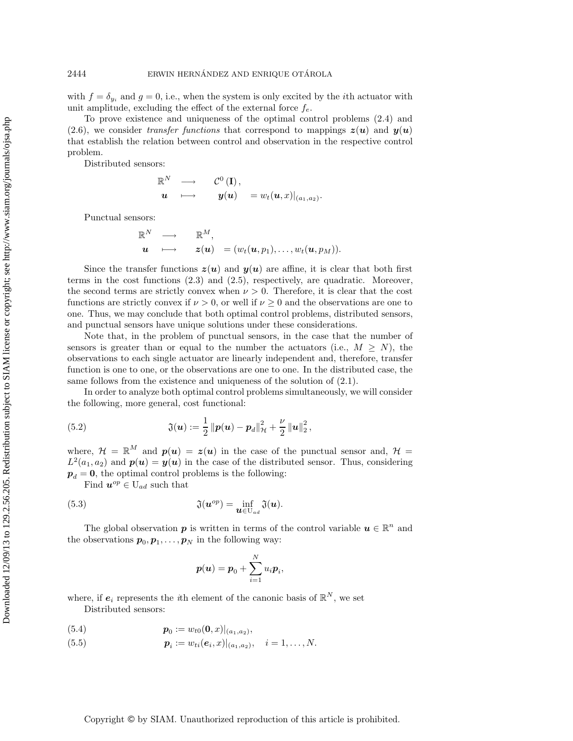with  $f = \delta_{y_i}$  and  $g = 0$ , i.e., when the system is only excited by the *i*th actuator with unit amplitude, excluding the effect of the external force  $f_e$ .

To prove existence and uniqueness of the optimal control problems (2.4) and (2.6), we consider *transfer functions* that correspond to mappings  $z(\mathbf{u})$  and  $y(\mathbf{u})$ that establish the relation between control and observation in the respective control problem.

Distributed sensors:

$$
\begin{array}{ccc} \mathbb{R}^N & \longrightarrow & \mathcal{C}^0 \left( \mathbf{I} \right), \\ \bm{u} & \longmapsto & \bm{y}(\bm{u}) \end{array} = w_t(\bm{u},x)|_{(a_1,a_2)}.
$$

Punctual sensors:

$$
\mathbb{R}^N \longrightarrow \mathbb{R}^M,
$$
  

$$
\mathbf{u} \longmapsto \mathbf{z}(\mathbf{u}) = (w_t(\mathbf{u}, p_1), \dots, w_t(\mathbf{u}, p_M)).
$$

Since the transfer functions  $z(u)$  and  $y(u)$  are affine, it is clear that both first terms in the cost functions (2.3) and (2.5), respectively, are quadratic. Moreover, the second terms are strictly convex when  $\nu > 0$ . Therefore, it is clear that the cost functions are strictly convex if  $\nu > 0$ , or well if  $\nu \geq 0$  and the observations are one to one. Thus, we may conclude that both optimal control problems, distributed sensors, and punctual sensors have unique solutions under these considerations.

Note that, in the problem of punctual sensors, in the case that the number of sensors is greater than or equal to the number the actuators (i.e.,  $M \geq N$ ), the observations to each single actuator are linearly independent and, therefore, transfer function is one to one, or the observations are one to one. In the distributed case, the same follows from the existence and uniqueness of the solution of (2.1).

In order to analyze both optimal control problems simultaneously, we will consider the following, more general, cost functional:

(5.2) 
$$
\mathfrak{J}(\boldsymbol{u}) := \frac{1}{2} \|\boldsymbol{p}(\boldsymbol{u}) - \boldsymbol{p}_d\|_{\mathcal{H}}^2 + \frac{\nu}{2} \|\boldsymbol{u}\|_{2}^2,
$$

where,  $\mathcal{H} = \mathbb{R}^M$  and  $p(u) = z(u)$  in the case of the punctual sensor and,  $\mathcal{H} =$  $L^2(a_1, a_2)$  and  $p(u) = y(u)$  in the case of the distributed sensor. Thus, considering  $p_d = 0$ , the optimal control problems is the following:

Find  $u^{op} \in U_{ad}$  such that

(5.3) 
$$
\mathfrak{J}(\boldsymbol{u}^{op}) = \inf_{\boldsymbol{u} \in U_{ad}} \mathfrak{J}(\boldsymbol{u}).
$$

The global observation **p** is written in terms of the control variable  $u \in \mathbb{R}^n$  and the observations  $p_0, p_1, \ldots, p_N$  in the following way:

$$
\boldsymbol{p}(\boldsymbol{u}) = \boldsymbol{p}_0 + \sum_{i=1}^N u_i \boldsymbol{p}_i,
$$

where, if  $e_i$  represents the *i*th element of the canonic basis of  $\mathbb{R}^N$ , we set Distributed sensors:

(5.4) 
$$
\boldsymbol{p}_0 := w_{t0}(\boldsymbol{0},x)|_{(a_1,a_2)},
$$

(5.5) 
$$
\boldsymbol{p}_i := w_{ti}(\boldsymbol{e}_i, x)|_{(a_1, a_2)}, \quad i = 1, \ldots, N.
$$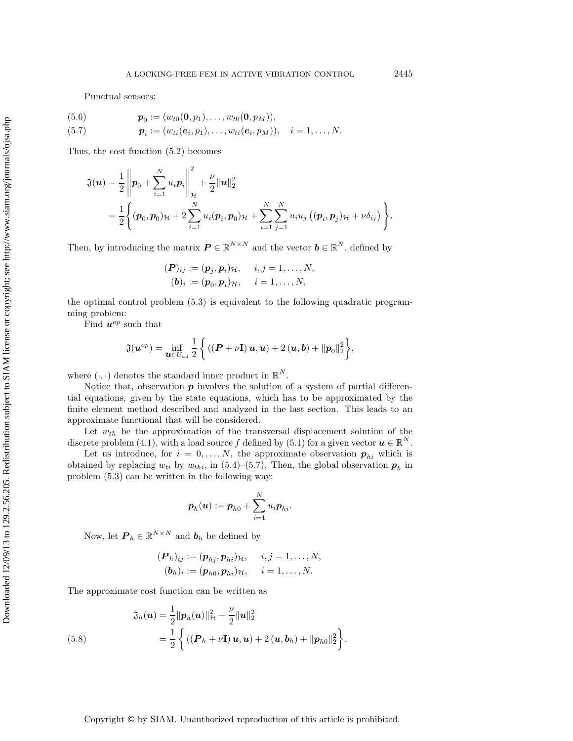Punctual sensors:

(5.6) 
$$
\mathbf{p}_0 := (w_{t0}(\mathbf{0}, p_1), \dots, w_{t0}(\mathbf{0}, p_M)),
$$
  
(5.7) 
$$
\mathbf{p}_i := (w_{ti}(e_i, p_1), \dots, w_{ti}(e_i, p_M)), \quad i = 1, \dots, N.
$$

Thus, the cost function (5.2) becomes

$$
\mathfrak{J}(\mathbf{u}) = \frac{1}{2} \left\| \mathbf{p}_0 + \sum_{i=1}^N u_i \mathbf{p}_i \right\|_{\mathcal{H}}^2 + \frac{\nu}{2} \|\mathbf{u}\|_2^2
$$
  
=  $\frac{1}{2} \left\{ (\mathbf{p}_0, \mathbf{p}_0)_{\mathcal{H}} + 2 \sum_{i=1}^N u_i (\mathbf{p}_i, \mathbf{p}_0)_{\mathcal{H}} + \sum_{i=1}^N \sum_{j=1}^N u_i u_j ((\mathbf{p}_i, \mathbf{p}_j)_{\mathcal{H}} + \nu \delta_{ij}) \right\}.$ 

Then, by introducing the matrix  $P \in \mathbb{R}^{N \times N}$  and the vector  $\mathbf{b} \in \mathbb{R}^{N}$ , defined by

$$
(\boldsymbol{P})_{ij} := (\boldsymbol{p}_j, \boldsymbol{p}_i)_{\mathcal{H}}, \quad i, j = 1, \ldots, N,
$$
  

$$
(\boldsymbol{b})_i := (\boldsymbol{p}_0, \boldsymbol{p}_i)_{\mathcal{H}}, \quad i = 1, \ldots, N,
$$

the optimal control problem (5.3) is equivalent to the following quadratic programming problem:

Find  $u^{op}$  such that

$$
\mathfrak{J}(\boldsymbol{u}^{op}) = \inf_{\boldsymbol{u}\in U_{ad}}\frac{1}{2}\bigg\{((\boldsymbol{P}+\nu\mathbf{I})\,\boldsymbol{u},\boldsymbol{u}) + 2(\boldsymbol{u},\boldsymbol{b}) + \|\boldsymbol{p}_0\|_2^2\bigg\},\,
$$

where  $(\cdot, \cdot)$  denotes the standard inner product in  $\mathbb{R}^N$ .

Notice that, observation *p* involves the solution of a system of partial differential equations, given by the state equations, which has to be approximated by the finite element method described and analyzed in the last section. This leads to an approximate functional that will be considered.

Let  $w_{th}$  be the approximation of the transversal displacement solution of the discrete problem (4.1), with a load source f defined by (5.1) for a given vector  $u \in \mathbb{R}^{N}$ .

Let us introduce, for  $i = 0, ..., N$ , the approximate observation  $p_{hi}$  which is obtained by replacing  $w_{ti}$  by  $w_{thi}$ , in (5.4)–(5.7). Then, the global observation  $p_h$  in problem (5.3) can be written in the following way:

$$
\boldsymbol{p}_h(\boldsymbol{u}) := \boldsymbol{p}_{h0} + \sum_{i=1}^N u_i \boldsymbol{p}_{hi}.
$$

Now, let  $P_h \in \mathbb{R}^{N \times N}$  and  $b_h$  be defined by

$$
(\boldsymbol{P}_h)_{ij} := (\boldsymbol{p}_{hj}, \boldsymbol{p}_{hi})_{\mathcal{H}}, \quad i, j = 1, \ldots, N,
$$
  

$$
(\boldsymbol{b}_h)_i := (\boldsymbol{p}_{h0}, \boldsymbol{p}_{hi})_{\mathcal{H}}, \quad i = 1, \ldots, N.
$$

The approximate cost function can be written as

(5.8) 
$$
\mathfrak{J}_h(\boldsymbol{u}) = \frac{1}{2} ||\boldsymbol{p}_h(\boldsymbol{u})||_{\mathcal{H}}^2 + \frac{\nu}{2} ||\boldsymbol{u}||_2^2
$$

$$
= \frac{1}{2} \left\{ ((\boldsymbol{P}_h + \nu \mathbf{I}) \, \boldsymbol{u}, \boldsymbol{u}) + 2 (\boldsymbol{u}, \boldsymbol{b}_h) + ||\boldsymbol{p}_{h0}||_2^2 \right\}.
$$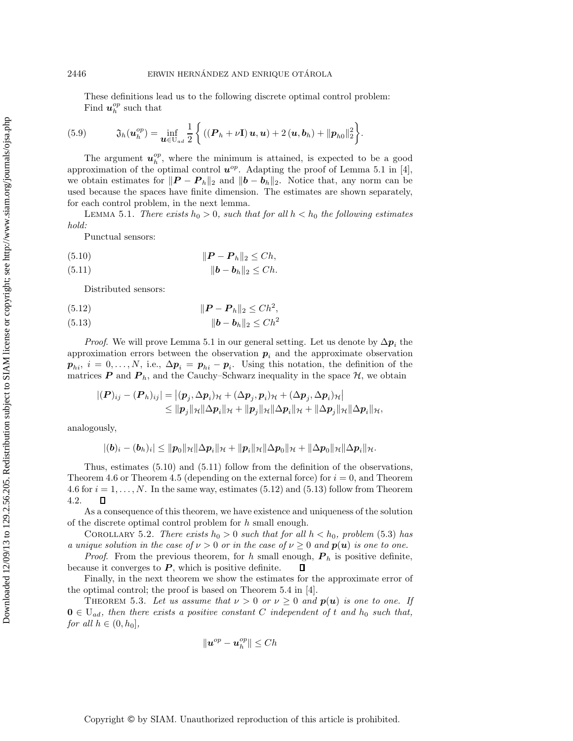These definitions lead us to the following discrete optimal control problem: Find  $\boldsymbol{u}_h^{op}$  such that

(5.9) 
$$
\mathfrak{J}_h(\boldsymbol{u}_h^{op}) = \inf_{\boldsymbol{u} \in U_{ad}} \frac{1}{2} \left\{ \left( (\boldsymbol{P}_h + \nu \mathbf{I}) \, \boldsymbol{u}, \boldsymbol{u} \right) + 2 \left( \boldsymbol{u}, \boldsymbol{b}_h \right) + \|\boldsymbol{p}_{h0}\|_2^2 \right\}.
$$

The argument  $u_h^{op}$ , where the minimum is attained, is expected to be a good approximation of the optimal control  $u^{op}$ . Adapting the proof of Lemma 5.1 in [4], we obtain estimates for  $||\boldsymbol{P} - \boldsymbol{P}_h||_2$  and  $||\boldsymbol{b} - \boldsymbol{b}_h||_2$ . Notice that, any norm can be used because the spaces have finite dimension. The estimates are shown separately, for each control problem, in the next lemma.

LEMMA 5.1. *There exists*  $h_0 > 0$ *, such that for all*  $h < h_0$  *the following estimates hold:*

Punctual sensors:

$$
(5.10) \t\t\t  $\|\boldsymbol{P} - \boldsymbol{P}_h\|_2 \leq Ch,$
$$

$$
(5.11) \t\t\t\t ||\boldsymbol{b} - \boldsymbol{b}_h||_2 \leq Ch.
$$

Distributed sensors:

(5.12) 
$$
\|\bm{P} - \bm{P}_h\|_2 \leq C h^2,
$$

*b* − *b*h<sup>2</sup> ≤ Ch<sup>2</sup> (5.13)

*Proof.* We will prove Lemma 5.1 in our general setting. Let us denote by  $\Delta p_i$  the approximation errors between the observation  $p_i$  and the approximate observation  $p_{hi}$ ,  $i = 0, \ldots, N$ , i.e.,  $\Delta p_i = p_{hi} - p_i$ . Using this notation, the definition of the matrices  $P$  and  $P_h$ , and the Cauchy–Schwarz inequality in the space  $H$ , we obtain

$$
\begin{aligned} |(\boldsymbol{P})_{ij}-(\boldsymbol{P}_h)_{ij}|&= \left|(\boldsymbol{p}_j,\Delta \boldsymbol{p}_i)_{\mathcal{H}}+(\Delta \boldsymbol{p}_j,\boldsymbol{p}_i)_{\mathcal{H}}+(\Delta \boldsymbol{p}_j,\Delta \boldsymbol{p}_i)_{\mathcal{H}}\right|\\ &\leq \| \boldsymbol{p}_j\|_{\mathcal{H}}\|\Delta \boldsymbol{p}_i\|_{\mathcal{H}}+\| \boldsymbol{p}_j\|_{\mathcal{H}}\|\Delta \boldsymbol{p}_i\|_{\mathcal{H}}+\|\Delta \boldsymbol{p}_j\|_{\mathcal{H}}\|\Delta \boldsymbol{p}_i\|_{\mathcal{H}}, \end{aligned}
$$

analogously,

$$
|(b)_i-(b_h)_i|\leq \|p_0\|_{\mathcal{H}}\|\Delta p_i\|_{\mathcal{H}}+\|p_i\|_{\mathcal{H}}\|\Delta p_0\|_{\mathcal{H}}+\|\Delta p_0\|_{\mathcal{H}}\|\Delta p_i\|_{\mathcal{H}}.
$$

Thus, estimates (5.10) and (5.11) follow from the definition of the observations, Theorem 4.6 or Theorem 4.5 (depending on the external force) for  $i = 0$ , and Theorem 4.6 for  $i = 1, \ldots, N$ . In the same way, estimates (5.12) and (5.13) follow from Theorem  $\Box$ 4.2.

As a consequence of this theorem, we have existence and uniqueness of the solution of the discrete optimal control problem for h small enough.

COROLLARY 5.2. *There exists*  $h_0 > 0$  *such that for all*  $h < h_0$ *, problem* (5.3) *has a unique solution in the case of*  $\nu > 0$  *or in the case of*  $\nu \geq 0$  *and*  $p(u)$  *is one to one.* 

*Proof.* From the previous theorem, for h small enough,  $P_h$  is positive definite, because it converges to  $P$ , which is positive definite.  $\Box$ 

Finally, in the next theorem we show the estimates for the approximate error of the optimal control; the proof is based on Theorem 5.4 in [4].

THEOREM 5.3. Let us assume that  $\nu > 0$  or  $\nu \geq 0$  and  $p(u)$  is one to one. If  $\mathbf{0} \in \mathcal{U}_{ad}$ , then there exists a positive constant C independent of t and  $h_0$  such that, *for all*  $h \in (0, h_0]$ *,* 

$$
\|\boldsymbol{u}^{op}-\boldsymbol{u}_h^{op}\|\leq Ch
$$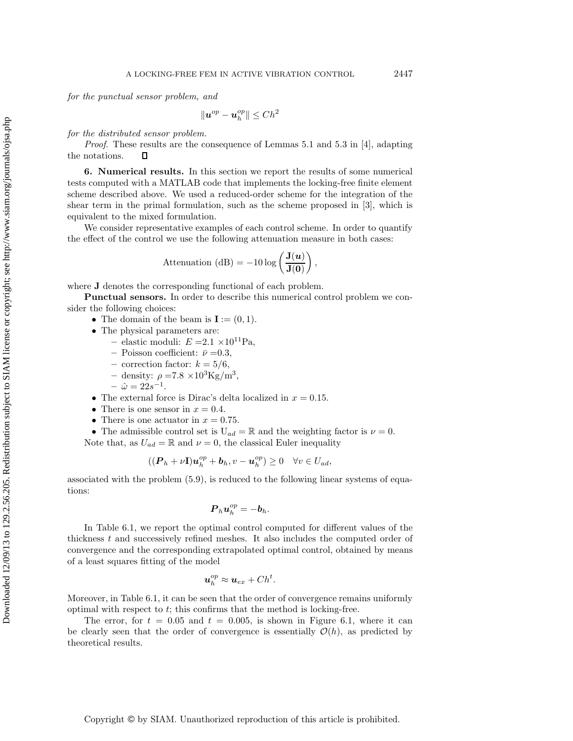*for the punctual sensor problem, and*

$$
\|\boldsymbol{u}^{op}-\boldsymbol{u}_h^{op}\|\leq Ch^2
$$

*for the distributed sensor problem.*

*Proof*. These results are the consequence of Lemmas 5.1 and 5.3 in [4], adapting the notations. П

**6. Numerical results.** In this section we report the results of some numerical tests computed with a MATLAB code that implements the locking-free finite element scheme described above. We used a reduced-order scheme for the integration of the shear term in the primal formulation, such as the scheme proposed in [3], which is equivalent to the mixed formulation.

We consider representative examples of each control scheme. In order to quantify the effect of the control we use the following attenuation measure in both cases:

$$
\text{Attention (dB)} = -10 \log \left( \frac{\mathbf{J}(u)}{\mathbf{J}(0)} \right),
$$

where **J** denotes the corresponding functional of each problem.

**Punctual sensors.** In order to describe this numerical control problem we consider the following choices:

- The domain of the beam is  $I := (0, 1)$ .
- The physical parameters are:
	- elastic moduli:  $E = 2.1 \times 10^{11}$ Pa,
	- $-$  Poisson coefficient:  $\bar{\nu} = 0.3$ ,
	- $-$  correction factor:  $k = 5/6$ ,
	- density:  $\rho = 7.8 \times 10^3 \text{Kg/m}^3$ ,
	- $-\hat{\omega} = 22s^{-1}.$
- The external force is Dirac's delta localized in  $x = 0.15$ .
- There is one sensor in  $x = 0.4$ .
- There is one actuator in  $x = 0.75$ .

• The admissible control set is  $U_{ad} = \mathbb{R}$  and the weighting factor is  $\nu = 0$ . Note that, as  $U_{ad} = \mathbb{R}$  and  $\nu = 0$ , the classical Euler inequality

$$
((\boldsymbol{P}_h + \nu \mathbf{I})\boldsymbol{u}_h^{op} + \boldsymbol{b}_h, v - \boldsymbol{u}_h^{op}) \ge 0 \quad \forall v \in U_{ad},
$$

associated with the problem (5.9), is reduced to the following linear systems of equations:

$$
\boldsymbol{P}_h \boldsymbol{u}_h^{op} = -\boldsymbol{b}_h.
$$

In Table 6.1, we report the optimal control computed for different values of the thickness t and successively refined meshes. It also includes the computed order of convergence and the corresponding extrapolated optimal control, obtained by means of a least squares fitting of the model

$$
\boldsymbol{u}_h^{op} \approx \boldsymbol{u}_{ex} + Ch^t.
$$

Moreover, in Table 6.1, it can be seen that the order of convergence remains uniformly optimal with respect to  $t$ ; this confirms that the method is locking-free.

The error, for  $t = 0.05$  and  $t = 0.005$ , is shown in Figure 6.1, where it can be clearly seen that the order of convergence is essentially  $\mathcal{O}(h)$ , as predicted by theoretical results.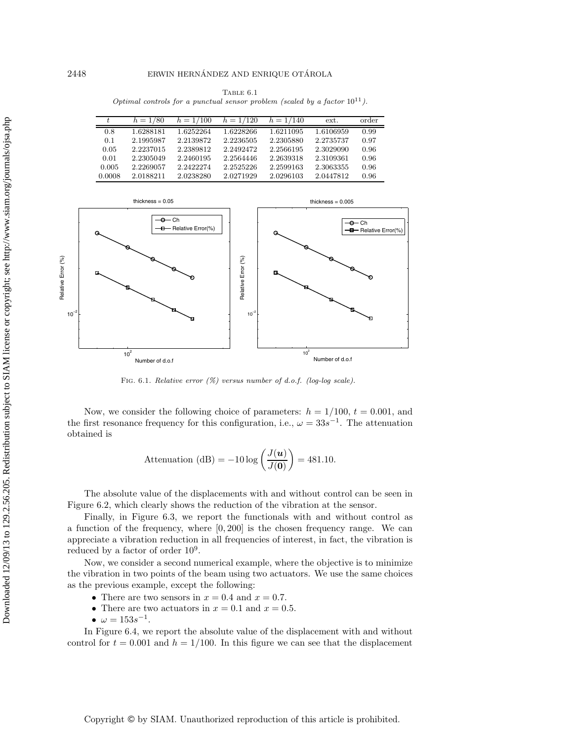TABLE  $6.1$ Optimal controls for a punctual sensor problem (scaled by a factor  $10^{11}$ ).

| t.     | $h = 1/80$ | $h = 1/100$ | $h = 1/120$ | $h = 1/140$ | ext.      | order |
|--------|------------|-------------|-------------|-------------|-----------|-------|
| 0.8    | 1.6288181  | 1.6252264   | 1.6228266   | 1.6211095   | 1.6106959 | 0.99  |
| 0.1    | 2.1995987  | 2.2139872   | 2.2236505   | 2.2305880   | 2.2735737 | 0.97  |
| 0.05   | 2.2237015  | 2.2389812   | 2.2492472   | 2.2566195   | 2.3029090 | 0.96  |
| 0.01   | 2.2305049  | 2.2460195   | 2.2564446   | 2.2639318   | 2.3109361 | 0.96  |
| 0.005  | 2.2269057  | 2.2422274   | 2.2525226   | 2.2599163   | 2.3063355 | 0.96  |
| 0.0008 | 2.0188211  | 2.0238280   | 2.0271929   | 2.0296103   | 2.0447812 | 0.96  |



FIG. 6.1. Relative error  $(\%)$  versus number of d.o.f. (log-log scale).

Now, we consider the following choice of parameters:  $h = 1/100$ ,  $t = 0.001$ , and the first resonance frequency for this configuration, i.e.,  $\omega = 33s^{-1}$ . The attenuation obtained is

$$
\text{Attention (dB)} = -10 \log \left( \frac{J(u)}{J(0)} \right) = 481.10.
$$

The absolute value of the displacements with and without control can be seen in Figure 6.2, which clearly shows the reduction of the vibration at the sensor.

Finally, in Figure 6.3, we report the functionals with and without control as a function of the frequency, where [0, 200] is the chosen frequency range. We can appreciate a vibration reduction in all frequencies of interest, in fact, the vibration is reduced by a factor of order 10<sup>9</sup>.

Now, we consider a second numerical example, where the objective is to minimize the vibration in two points of the beam using two actuators. We use the same choices as the previous example, except the following:

- There are two sensors in  $x = 0.4$  and  $x = 0.7$ .
- There are two actuators in  $x = 0.1$  and  $x = 0.5$ .
- $\omega = 153s^{-1}$ .

In Figure 6.4, we report the absolute value of the displacement with and without control for  $t = 0.001$  and  $h = 1/100$ . In this figure we can see that the displacement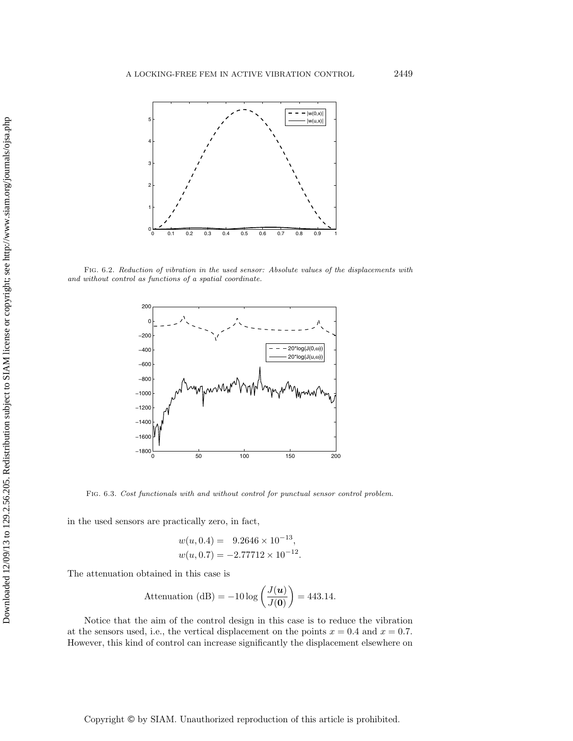

Fig. 6.2. Reduction of vibration in the used sensor: Absolute values of the displacements with and without control as functions of a spatial coordinate.



Fig. 6.3. Cost functionals with and without control for punctual sensor control problem.

in the used sensors are practically zero, in fact,

$$
w(u, 0.4) = 9.2646 \times 10^{-13},
$$
  

$$
w(u, 0.7) = -2.77712 \times 10^{-12}.
$$

The attenuation obtained in this case is

$$
\text{Attention (dB)} = -10 \log \left( \frac{J(u)}{J(0)} \right) = 443.14.
$$

Notice that the aim of the control design in this case is to reduce the vibration at the sensors used, i.e., the vertical displacement on the points  $x = 0.4$  and  $x = 0.7$ . However, this kind of control can increase significantly the displacement elsewhere on

Copyright © by SIAM. Unauthorized reproduction of this article is prohibited.

Downloaded 12/09/13 to 129.2.56.205. Redistribution subject to SIAM license or copyright; see http://www.siam.org/journals/ojsa.php Downloaded 12/09/13 to 129.2.56.205. Redistribution subject to SIAM license or copyright; see http://www.siam.org/journals/ojsa.php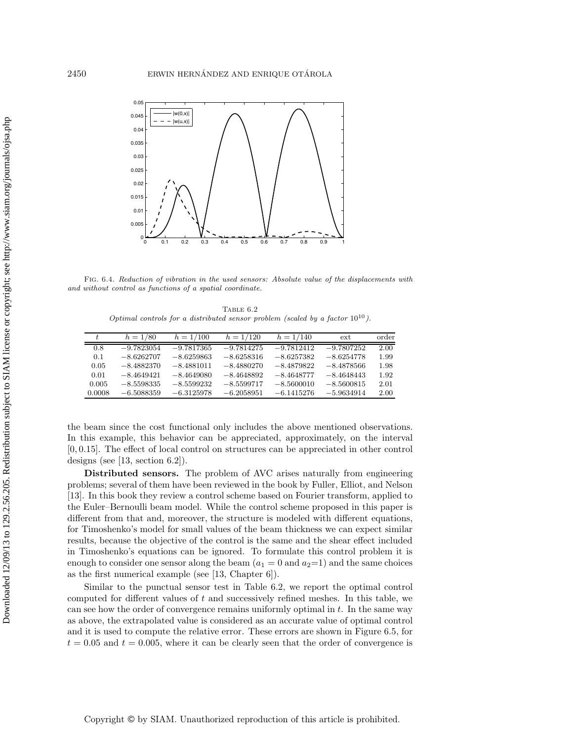

Fig. 6.4. Reduction of vibration in the used sensors: Absolute value of the displacements with and without control as functions of a spatial coordinate.

TABLE  $6.2$ Optimal controls for a distributed sensor problem (scaled by a factor  $10^{10}$ ).

| t.     | $h = 1/80$   | $h = 1/100$  | $h = 1/120$  | $h = 1/140$  | ext.         | order |
|--------|--------------|--------------|--------------|--------------|--------------|-------|
| 0.8    | $-9.7823054$ | $-9.7817365$ | $-9.7814275$ | $-9.7812412$ | $-9.7807252$ | 2.00  |
| 0.1    | $-8.6262707$ | $-8.6259863$ | $-8.6258316$ | $-8.6257382$ | $-8.6254778$ | 1.99  |
| 0.05   | $-8.4882370$ | $-8.4881011$ | $-8.4880270$ | $-8.4879822$ | $-8.4878566$ | 1.98  |
| 0.01   | $-8.4649421$ | $-8.4649080$ | $-8.4648892$ | $-8.4648777$ | $-8.4648443$ | 1.92  |
| 0.005  | $-8.5598335$ | $-8.5599232$ | $-8.5599717$ | $-8.5600010$ | $-8.5600815$ | 2.01  |
| 0.0008 | $-6.5088359$ | $-6.3125978$ | $-6.2058951$ | $-6.1415276$ | $-5.9634914$ | 2.00  |

the beam since the cost functional only includes the above mentioned observations. In this example, this behavior can be appreciated, approximately, on the interval [0, 0.15]. The effect of local control on structures can be appreciated in other control designs (see  $[13, \text{ section } 6.2]$ ).

**Distributed sensors.** The problem of AVC arises naturally from engineering problems; several of them have been reviewed in the book by Fuller, Elliot, and Nelson [13]. In this book they review a control scheme based on Fourier transform, applied to the Euler–Bernoulli beam model. While the control scheme proposed in this paper is different from that and, moreover, the structure is modeled with different equations, for Timoshenko's model for small values of the beam thickness we can expect similar results, because the objective of the control is the same and the shear effect included in Timoshenko's equations can be ignored. To formulate this control problem it is enough to consider one sensor along the beam  $(a_1 = 0 \text{ and } a_2 = 1)$  and the same choices as the first numerical example (see [13, Chapter 6]).

Similar to the punctual sensor test in Table 6.2, we report the optimal control computed for different values of t and successively refined meshes. In this table, we can see how the order of convergence remains uniformly optimal in t. In the same way as above, the extrapolated value is considered as an accurate value of optimal control and it is used to compute the relative error. These errors are shown in Figure 6.5, for  $t = 0.05$  and  $t = 0.005$ , where it can be clearly seen that the order of convergence is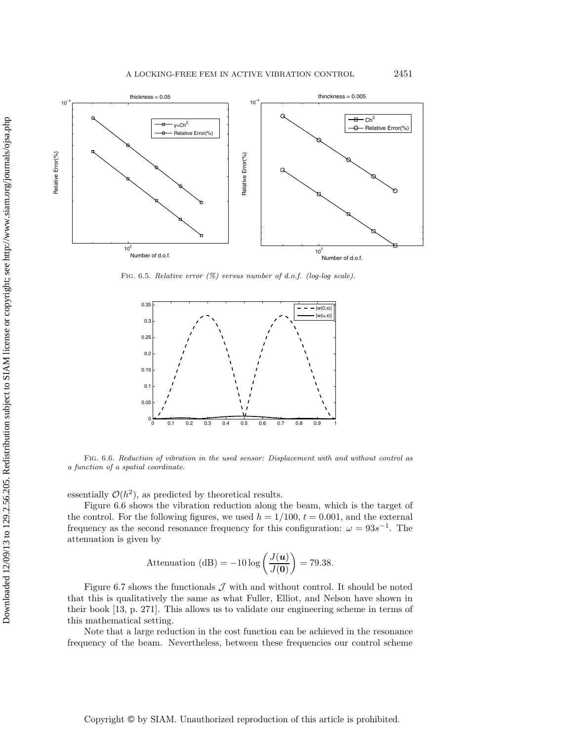

FIG. 6.5. Relative error  $(\%)$  versus number of d.o.f. (log-log scale).



Fig. 6.6. Reduction of vibration in the used sensor: Displacement with and without control as a function of a spatial coordinate.

essentially  $\mathcal{O}(h^2)$ , as predicted by theoretical results.

Figure 6.6 shows the vibration reduction along the beam, which is the target of the control. For the following figures, we used  $h = 1/100$ ,  $t = 0.001$ , and the external frequency as the second resonance frequency for this configuration:  $\omega = 93s^{-1}$ . The attenuation is given by

$$
\text{Attention (dB)} = -10 \log \left( \frac{J(u)}{J(0)} \right) = 79.38.
$$

Figure 6.7 shows the functionals  $J$  with and without control. It should be noted that this is qualitatively the same as what Fuller, Elliot, and Nelson have shown in their book [13, p. 271]. This allows us to validate our engineering scheme in terms of this mathematical setting.

Note that a large reduction in the cost function can be achieved in the resonance frequency of the beam. Nevertheless, between these frequencies our control scheme

Downloaded 12/09/13 to 129.2.56.205. Redistribution subject to SIAM license or copyright; see http://www.siam.org/journals/ojsa.php Downloaded 12/09/13 to 129.2.56.205. Redistribution subject to SIAM license or copyright; see http://www.siam.org/journals/ojsa.php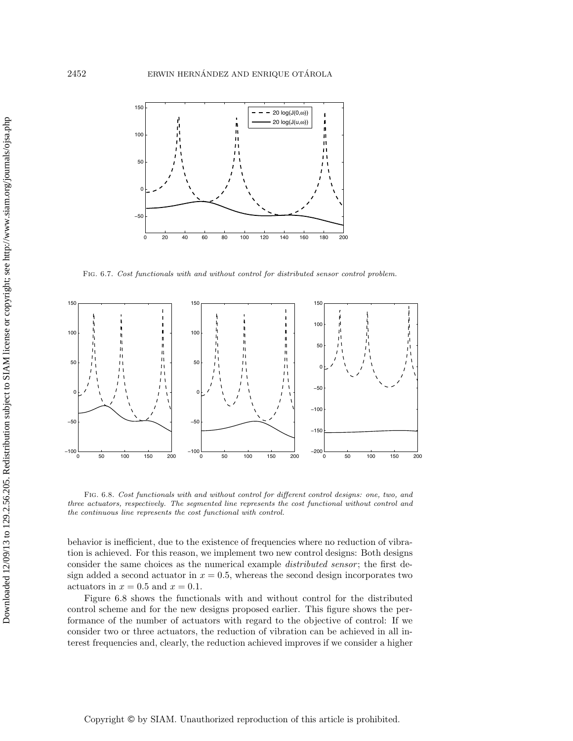

Fig. 6.7. Cost functionals with and without control for distributed sensor control problem.



Fig. 6.8. Cost functionals with and without control for different control designs: one, two, and three actuators, respectively. The segmented line represents the cost functional without control and the continuous line represents the cost functional with control.

behavior is inefficient, due to the existence of frequencies where no reduction of vibration is achieved. For this reason, we implement two new control designs: Both designs consider the same choices as the numerical example *distributed sensor*; the first design added a second actuator in  $x = 0.5$ , whereas the second design incorporates two actuators in  $x = 0.5$  and  $x = 0.1$ .

Figure 6.8 shows the functionals with and without control for the distributed control scheme and for the new designs proposed earlier. This figure shows the performance of the number of actuators with regard to the objective of control: If we consider two or three actuators, the reduction of vibration can be achieved in all interest frequencies and, clearly, the reduction achieved improves if we consider a higher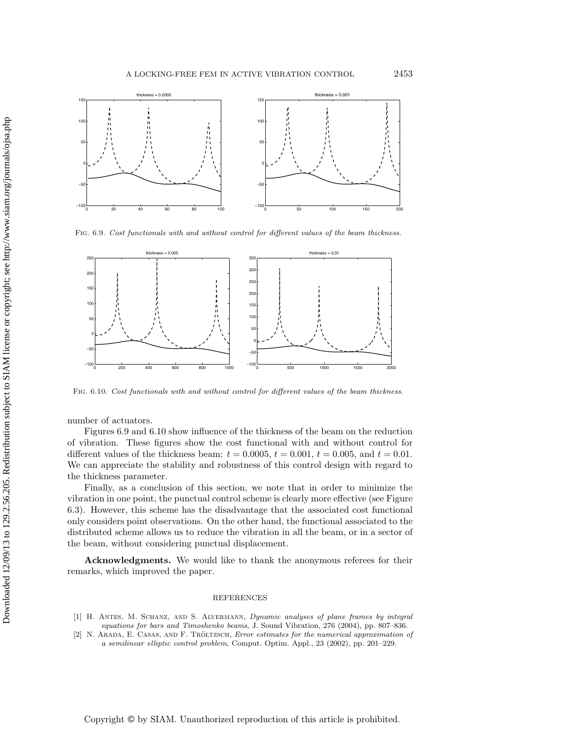

Fig. 6.9. Cost functionals with and without control for different values of the beam thickness.



Fig. 6.10. Cost functionals with and without control for different values of the beam thickness.

number of actuators.

Figures 6.9 and 6.10 show influence of the thickness of the beam on the reduction of vibration. These figures show the cost functional with and without control for different values of the thickness beam:  $t = 0.0005$ ,  $t = 0.001$ ,  $t = 0.005$ , and  $t = 0.01$ . We can appreciate the stability and robustness of this control design with regard to the thickness parameter.

Finally, as a conclusion of this section, we note that in order to minimize the vibration in one point, the punctual control scheme is clearly more effective (see Figure 6.3). However, this scheme has the disadvantage that the associated cost functional only considers point observations. On the other hand, the functional associated to the distributed scheme allows us to reduce the vibration in all the beam, or in a sector of the beam, without considering punctual displacement.

**Acknowledgments.** We would like to thank the anonymous referees for their remarks, which improved the paper.

#### REFERENCES

- [1] H. Antes, M. Schanz, and S. Alvermann, Dynamic analyses of plane frames by integral equations for bars and Timoshenko beams, J. Sound Vibration, 276 (2004), pp. 807–836.
- [2] N. ARADA, E. CASAS, AND F. TRÖLTZSCH, *Error estimates for the numerical approximation of* a semilinear elliptic control problem, Comput. Optim. Appl., 23 (2002), pp. 201–229.